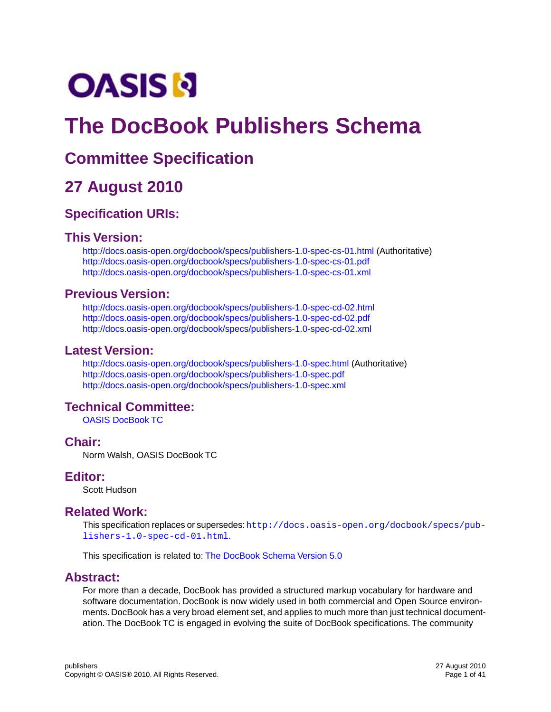# **OASIS N**

## **The DocBook Publishers Schema**

## **Committee Specification**

## **27 August 2010**

### **Specification URIs:**

### **This Version:**

<http://docs.oasis-open.org/docbook/specs/publishers-1.0-spec-cs-01.html>(Authoritative) <http://docs.oasis-open.org/docbook/specs/publishers-1.0-spec-cs-01.pdf> <http://docs.oasis-open.org/docbook/specs/publishers-1.0-spec-cs-01.xml>

### **Previous Version:**

<http://docs.oasis-open.org/docbook/specs/publishers-1.0-spec-cd-02.html> <http://docs.oasis-open.org/docbook/specs/publishers-1.0-spec-cd-02.pdf> <http://docs.oasis-open.org/docbook/specs/publishers-1.0-spec-cd-02.xml>

### **Latest Version:**

<http://docs.oasis-open.org/docbook/specs/publishers-1.0-spec.html>(Authoritative) <http://docs.oasis-open.org/docbook/specs/publishers-1.0-spec.pdf> <http://docs.oasis-open.org/docbook/specs/publishers-1.0-spec.xml>

### **Technical Committee:**

[OASIS DocBook TC](http://www.oasis-open.org/committees/tc_home.php?wg_abbrev=docbook)

### **Chair:**

Norm Walsh, OASIS DocBook TC

### **Editor:**

Scott Hudson

### **Related Work:**

This specification replaces or supersedes:[http://docs.oasis-open.org/docbook/specs/pub](http://docs.oasis-open.org/docbook/specs/publishers-1.0-spec-cd-01.html)[lishers-1.0-spec-cd-01.html](http://docs.oasis-open.org/docbook/specs/publishers-1.0-spec-cd-01.html).

This specification is related to: [The DocBook Schema Version 5.0](http://docs.oasis-open.org/docbook/specs/docbook-5.0-spec.html)

### **Abstract:**

For more than a decade, DocBook has provided a structured markup vocabulary for hardware and software documentation. DocBook is now widely used in both commercial and Open Source environments. DocBook has a very broad element set, and applies to much more than just technical documentation. The DocBook TC is engaged in evolving the suite of DocBook specifications. The community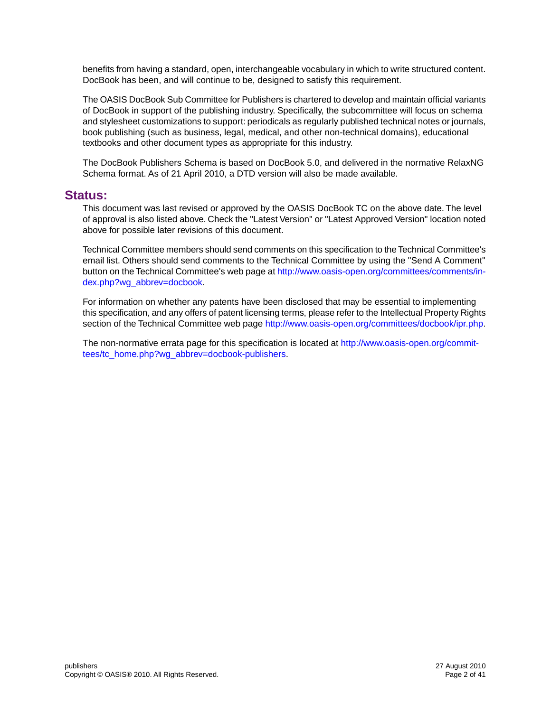benefits from having a standard, open, interchangeable vocabulary in which to write structured content. DocBook has been, and will continue to be, designed to satisfy this requirement.

The OASIS DocBook Sub Committee for Publishers is chartered to develop and maintain official variants of DocBook in support of the publishing industry. Specifically, the subcommittee will focus on schema and stylesheet customizations to support: periodicals as regularly published technical notes or journals, book publishing (such as business, legal, medical, and other non-technical domains), educational textbooks and other document types as appropriate for this industry.

The DocBook Publishers Schema is based on DocBook 5.0, and delivered in the normative RelaxNG Schema format. As of 21 April 2010, a DTD version will also be made available.

### **Status:**

This document was last revised or approved by the OASIS DocBook TC on the above date. The level of approval is also listed above. Check the "Latest Version" or "Latest Approved Version" location noted above for possible later revisions of this document.

Technical Committee members should send comments on this specification to the Technical Committee's email list. Others should send comments to the Technical Committee by using the "Send A Comment" button on the Technical Committee's web page at [http://www.oasis-open.org/committees/comments/in](http://www.oasis-open.org/committees/comments/index.php?wg_abbrev=docbook)[dex.php?wg\\_abbrev=docbook.](http://www.oasis-open.org/committees/comments/index.php?wg_abbrev=docbook)

For information on whether any patents have been disclosed that may be essential to implementing this specification, and any offers of patent licensing terms, please refer to the Intellectual Property Rights section of the Technical Committee web page <http://www.oasis-open.org/committees/docbook/ipr.php>.

The non-normative errata page for this specification is located at [http://www.oasis-open.org/commit](http://www.oasis-open.org/committees/tc_home.php?wg_abbrev=docbook-publishers)[tees/tc\\_home.php?wg\\_abbrev=docbook-publishers.](http://www.oasis-open.org/committees/tc_home.php?wg_abbrev=docbook-publishers)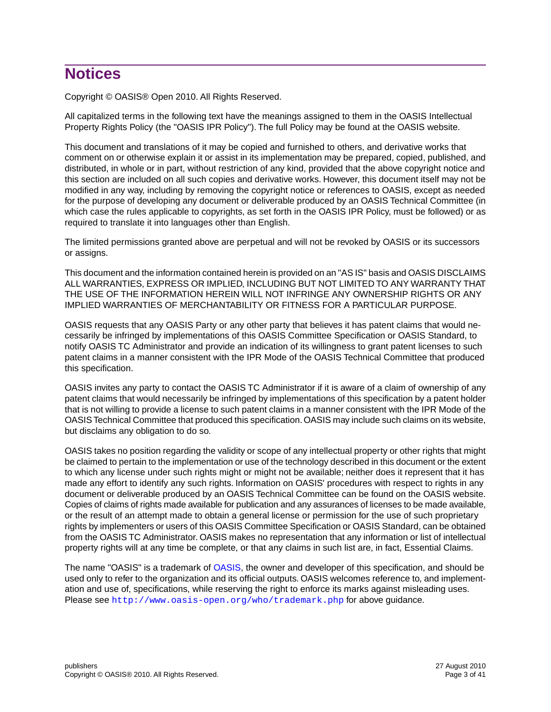## **Notices**

Copyright © OASIS® Open 2010. All Rights Reserved.

All capitalized terms in the following text have the meanings assigned to them in the OASIS Intellectual Property Rights Policy (the "OASIS IPR Policy"). The full Policy may be found at the OASIS website.

This document and translations of it may be copied and furnished to others, and derivative works that comment on or otherwise explain it or assist in its implementation may be prepared, copied, published, and distributed, in whole or in part, without restriction of any kind, provided that the above copyright notice and this section are included on all such copies and derivative works. However, this document itself may not be modified in any way, including by removing the copyright notice or references to OASIS, except as needed for the purpose of developing any document or deliverable produced by an OASIS Technical Committee (in which case the rules applicable to copyrights, as set forth in the OASIS IPR Policy, must be followed) or as required to translate it into languages other than English.

The limited permissions granted above are perpetual and will not be revoked by OASIS or its successors or assigns.

This document and the information contained herein is provided on an "AS IS" basis and OASIS DISCLAIMS ALL WARRANTIES, EXPRESS OR IMPLIED, INCLUDING BUT NOT LIMITED TO ANY WARRANTY THAT THE USE OF THE INFORMATION HEREIN WILL NOT INFRINGE ANY OWNERSHIP RIGHTS OR ANY IMPLIED WARRANTIES OF MERCHANTABILITY OR FITNESS FOR A PARTICULAR PURPOSE.

OASIS requests that any OASIS Party or any other party that believes it has patent claims that would necessarily be infringed by implementations of this OASIS Committee Specification or OASIS Standard, to notify OASIS TC Administrator and provide an indication of its willingness to grant patent licenses to such patent claims in a manner consistent with the IPR Mode of the OASIS Technical Committee that produced this specification.

OASIS invites any party to contact the OASIS TC Administrator if it is aware of a claim of ownership of any patent claims that would necessarily be infringed by implementations of this specification by a patent holder that is not willing to provide a license to such patent claims in a manner consistent with the IPR Mode of the OASIS Technical Committee that produced this specification. OASIS may include such claims on its website, but disclaims any obligation to do so.

OASIS takes no position regarding the validity or scope of any intellectual property or other rights that might be claimed to pertain to the implementation or use of the technology described in this document or the extent to which any license under such rights might or might not be available; neither does it represent that it has made any effort to identify any such rights. Information on OASIS' procedures with respect to rights in any document or deliverable produced by an OASIS Technical Committee can be found on the OASIS website. Copies of claims of rights made available for publication and any assurances of licenses to be made available, or the result of an attempt made to obtain a general license or permission for the use of such proprietary rights by implementers or users of this OASIS Committee Specification or OASIS Standard, can be obtained from the OASIS TC Administrator. OASIS makes no representation that any information or list of intellectual property rights will at any time be complete, or that any claims in such list are, in fact, Essential Claims.

The name "OASIS" is a trademark of [OASIS,](http://www.oasis-open.org) the owner and developer of this specification, and should be used only to refer to the organization and its official outputs. OASIS welcomes reference to, and implementation and use of, specifications, while reserving the right to enforce its marks against misleading uses. Please see <http://www.oasis-open.org/who/trademark.php> for above guidance.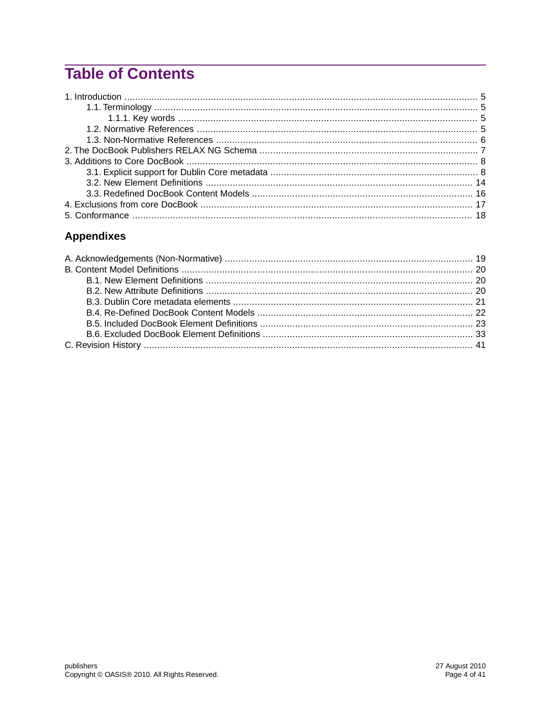## **Table of Contents**

### **Appendixes**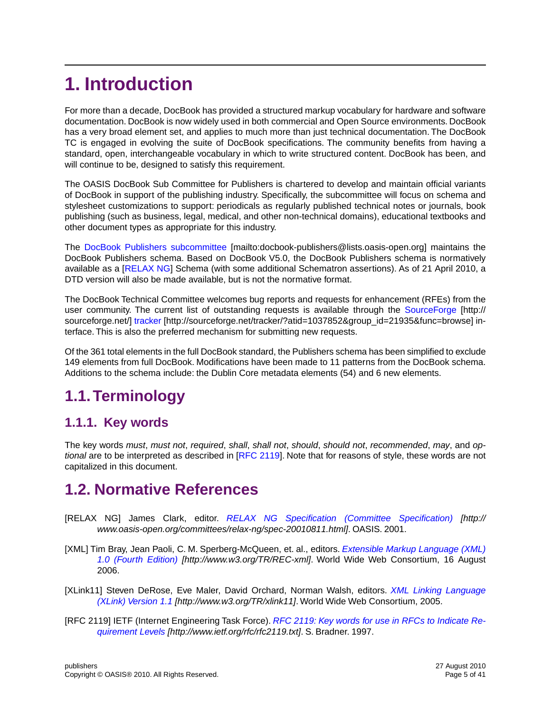## <span id="page-4-0"></span>**1. Introduction**

For more than a decade, DocBook has provided a structured markup vocabulary for hardware and software documentation. DocBook is now widely used in both commercial and Open Source environments. DocBook has a very broad element set, and applies to much more than just technical documentation. The DocBook TC is engaged in evolving the suite of DocBook specifications. The community benefits from having a standard, open, interchangeable vocabulary in which to write structured content. DocBook has been, and will continue to be, designed to satisfy this requirement.

The OASIS DocBook Sub Committee for Publishers is chartered to develop and maintain official variants of DocBook in support of the publishing industry. Specifically, the subcommittee will focus on schema and stylesheet customizations to support: periodicals as regularly published technical notes or journals, book publishing (such as business, legal, medical, and other non-technical domains), educational textbooks and other document types as appropriate for this industry.

The [DocBook Publishers subcommittee](mailto:docbook-publishers@lists.oasis-open.org) [mailto:docbook-publishers@lists.oasis-open.org] maintains the DocBook Publishers schema. Based on DocBook V5.0, the DocBook Publishers schema is normatively available as a [[RELAX NG](#page-4-4)] Schema (with some additional Schematron assertions). As of 21 April 2010, a DTD version will also be made available, but is not the normative format.

The DocBook Technical Committee welcomes bug reports and requests for enhancement (RFEs) from the user community. The current list of outstanding requests is available through the [SourceForge](http://sourceforge.net/) [http:// sourceforge.net/] [tracker](http://sourceforge.net/tracker/?atid=1037852&group_id=21935&func=browse) [http://sourceforge.net/tracker/?atid=1037852&group\_id=21935&func=browse] interface. This is also the preferred mechanism for submitting new requests.

<span id="page-4-2"></span><span id="page-4-1"></span>Of the 361 total elements in the full DocBook standard, the Publishers schema has been simplified to exclude 149 elements from full DocBook. Modifications have been made to 11 patterns from the DocBook schema. Additions to the schema include: the Dublin Core metadata elements (54) and 6 new elements.

## **1.1.Terminology**

### <span id="page-4-3"></span>**1.1.1. Key words**

The key words *must*, *must not*, *required*, *shall*, *shall not*, *should*, *should not*, *recommended*, *may*, and *optional* are to be interpreted as described in [\[RFC 2119\]](#page-4-5). Note that for reasons of style, these words are not capitalized in this document.

## <span id="page-4-4"></span>**1.2. Normative References**

- [RELAX NG] James Clark, editor. *[RELAX NG Specification \(Committee Specification\)](http://www.oasis-open.org/committees/relax-ng/spec-20010811.html) [http:// www.oasis-open.org/committees/relax-ng/spec-20010811.html]*. OASIS. 2001.
- <span id="page-4-5"></span>[XML] Tim Bray, Jean Paoli, C. M. Sperberg-McQueen, et. al., editors. *[Extensible Markup Language \(XML\)](http://www.w3.org/TR/REC-xml) [1.0 \(Fourth Edition\)](http://www.w3.org/TR/REC-xml) [http://www.w3.org/TR/REC-xml]*. World Wide Web Consortium, 16 August 2006.
- [XLink11] Steven DeRose, Eve Maler, David Orchard, Norman Walsh, editors. *[XML Linking Language](http://www.w3.org/TR/xlink11) [\(XLink\) Version 1.1](http://www.w3.org/TR/xlink11) [http://www.w3.org/TR/xlink11]*. World Wide Web Consortium, 2005.
- [RFC 2119] IETF (Internet Engineering Task Force). *[RFC 2119: Key words for use in RFCs to Indicate Re](http://www.ietf.org/rfc/rfc2119.txt)[quirement Levels](http://www.ietf.org/rfc/rfc2119.txt) [http://www.ietf.org/rfc/rfc2119.txt]*. S. Bradner. 1997.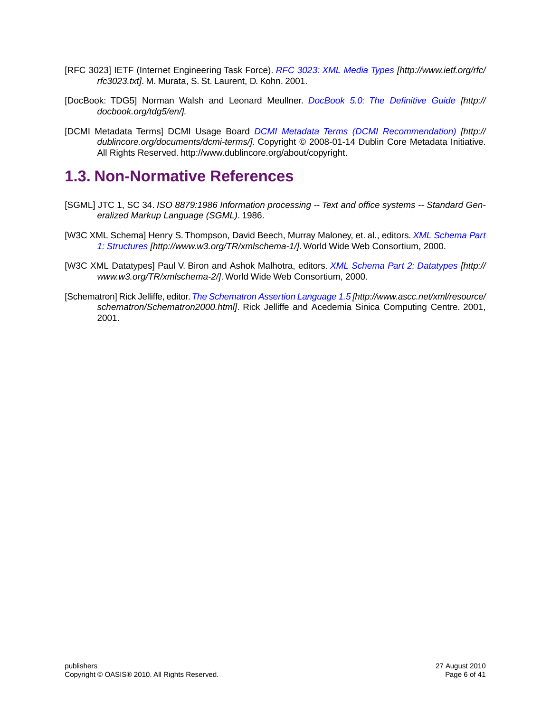- [RFC 3023] IETF (Internet Engineering Task Force). *[RFC 3023: XML Media Types](http://www.ietf.org/rfc/rfc3023.txt) [http://www.ietf.org/rfc/ rfc3023.txt]*. M. Murata, S. St. Laurent, D. Kohn. 2001.
- [DocBook: TDG5] Norman Walsh and Leonard Meullner. *DocBook 5.0: [The Definitive Guide](http://docbook.org/tdg5/en/) [http:// docbook.org/tdg5/en/].*
- <span id="page-5-0"></span>[DCMI Metadata Terms] DCMI Usage Board *[DCMI Metadata Terms \(DCMI Recommendation\)](http://dublincore.org/documents/dcmi-terms/) [http:// dublincore.org/documents/dcmi-terms/]*. Copyright © 2008-01-14 Dublin Core Metadata Initiative. All Rights Reserved. http://www.dublincore.org/about/copyright.

## **1.3. Non-Normative References**

- [SGML] JTC 1, SC 34. *ISO 8879:1986 Information processing -- Text and office systems -- Standard Generalized Markup Language (SGML)*. 1986.
- [W3C XML Schema] Henry S. Thompson, David Beech, Murray Maloney, et. al., editors. *[XML Schema Part](http://www.w3.org/TR/xmlschema-1/) [1: Structures](http://www.w3.org/TR/xmlschema-1/) [http://www.w3.org/TR/xmlschema-1/]*. World Wide Web Consortium, 2000.
- [W3C XML Datatypes] Paul V. Biron and Ashok Malhotra, editors. *[XML Schema Part 2: Datatypes](http://www.w3.org/TR/xmlschema-2/) [http:// www.w3.org/TR/xmlschema-2/]*. World Wide Web Consortium, 2000.
- [Schematron] Rick Jelliffe, editor.*[The Schematron Assertion Language 1.5](http://www.ascc.net/xml/resource/schematron/Schematron2000.html) [http://www.ascc.net/xml/resource/ schematron/Schematron2000.html]*. Rick Jelliffe and Acedemia Sinica Computing Centre. 2001, 2001.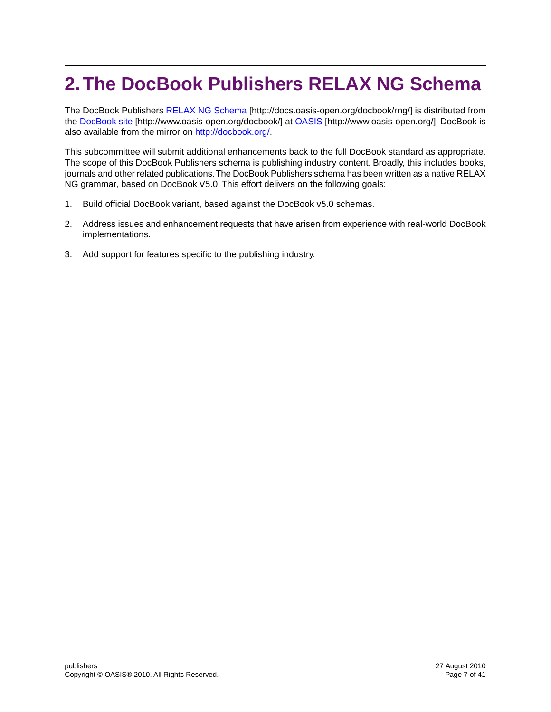## <span id="page-6-0"></span>**2.The DocBook Publishers RELAX NG Schema**

The DocBook Publishers [RELAX NG Schema](http://docs.oasis-open.org/docbook/rng/) [http://docs.oasis-open.org/docbook/rng/] is distributed from the [DocBook site](http://www.oasis-open.org/docbook/) [http://www.oasis-open.org/docbook/] at [OASIS](http://www.oasis-open.org/) [http://www.oasis-open.org/]. DocBook is also available from the mirror on [http://docbook.org/.](http://docbook.org/)

This subcommittee will submit additional enhancements back to the full DocBook standard as appropriate. The scope of this DocBook Publishers schema is publishing industry content. Broadly, this includes books, journals and other related publications.The DocBook Publishers schema has been written as a native RELAX NG grammar, based on DocBook V5.0. This effort delivers on the following goals:

- 1. Build official DocBook variant, based against the DocBook v5.0 schemas.
- 2. Address issues and enhancement requests that have arisen from experience with real-world DocBook implementations.
- 3. Add support for features specific to the publishing industry.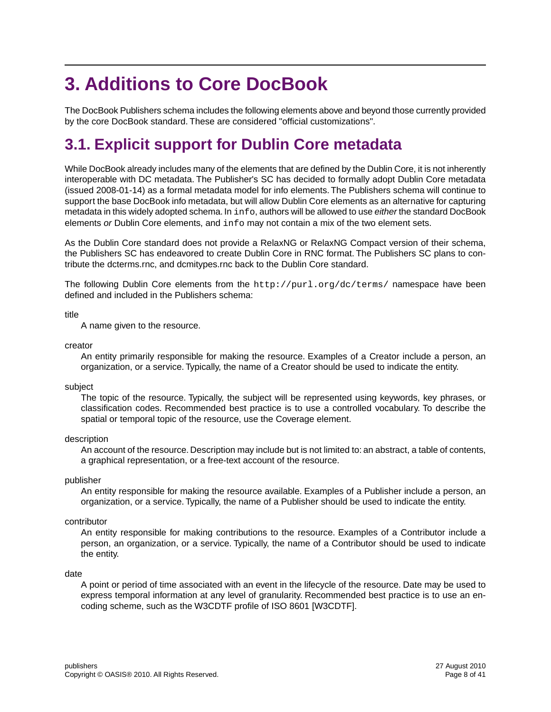## <span id="page-7-0"></span>**3. Additions to Core DocBook**

<span id="page-7-1"></span>The DocBook Publishers schema includes the following elements above and beyond those currently provided by the core DocBook standard. These are considered "official customizations".

## **3.1. Explicit support for Dublin Core metadata**

While DocBook already includes many of the elements that are defined by the Dublin Core, it is not inherently interoperable with DC metadata. The Publisher's SC has decided to formally adopt Dublin Core metadata (issued 2008-01-14) as a formal metadata model for info elements. The Publishers schema will continue to support the base DocBook info metadata, but will allow Dublin Core elements as an alternative for capturing metadata in this widely adopted schema. In info, authors will be allowed to use *either* the standard DocBook elements *or* Dublin Core elements, and info may not contain a mix of the two element sets.

As the Dublin Core standard does not provide a RelaxNG or RelaxNG Compact version of their schema, the Publishers SC has endeavored to create Dublin Core in RNC format. The Publishers SC plans to contribute the dcterms.rnc, and dcmitypes.rnc back to the Dublin Core standard.

The following Dublin Core elements from the http://purl.org/dc/terms/ namespace have been defined and included in the Publishers schema:

#### title

A name given to the resource.

#### creator

An entity primarily responsible for making the resource. Examples of a Creator include a person, an organization, or a service. Typically, the name of a Creator should be used to indicate the entity.

#### subject

The topic of the resource. Typically, the subject will be represented using keywords, key phrases, or classification codes. Recommended best practice is to use a controlled vocabulary. To describe the spatial or temporal topic of the resource, use the Coverage element.

#### description

An account of the resource. Description may include but is not limited to: an abstract, a table of contents, a graphical representation, or a free-text account of the resource.

#### publisher

An entity responsible for making the resource available. Examples of a Publisher include a person, an organization, or a service. Typically, the name of a Publisher should be used to indicate the entity.

#### contributor

An entity responsible for making contributions to the resource. Examples of a Contributor include a person, an organization, or a service. Typically, the name of a Contributor should be used to indicate the entity.

#### date

A point or period of time associated with an event in the lifecycle of the resource. Date may be used to express temporal information at any level of granularity. Recommended best practice is to use an encoding scheme, such as the W3CDTF profile of ISO 8601 [W3CDTF].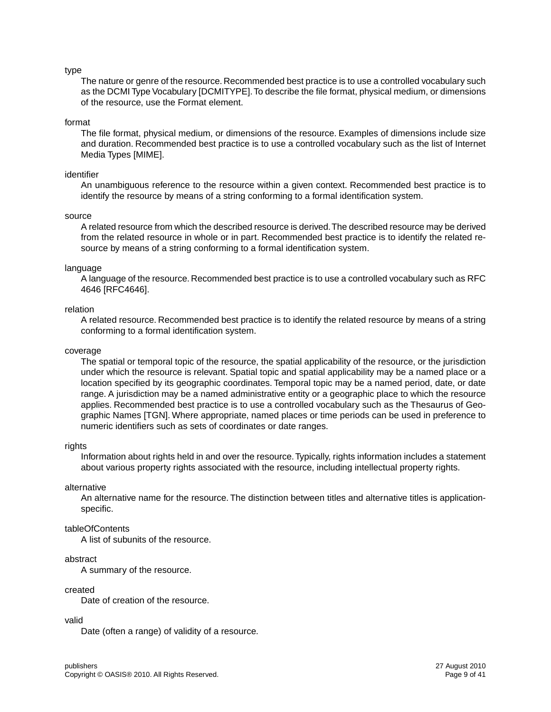#### type

The nature or genre of the resource. Recommended best practice is to use a controlled vocabulary such as the DCMI Type Vocabulary [DCMITYPE].To describe the file format, physical medium, or dimensions of the resource, use the Format element.

#### format

The file format, physical medium, or dimensions of the resource. Examples of dimensions include size and duration. Recommended best practice is to use a controlled vocabulary such as the list of Internet Media Types [MIME].

#### identifier

An unambiguous reference to the resource within a given context. Recommended best practice is to identify the resource by means of a string conforming to a formal identification system.

#### source

A related resource from which the described resource is derived.The described resource may be derived from the related resource in whole or in part. Recommended best practice is to identify the related resource by means of a string conforming to a formal identification system.

#### language

A language of the resource. Recommended best practice is to use a controlled vocabulary such as RFC 4646 [RFC4646].

#### relation

A related resource. Recommended best practice is to identify the related resource by means of a string conforming to a formal identification system.

#### coverage

The spatial or temporal topic of the resource, the spatial applicability of the resource, or the jurisdiction under which the resource is relevant. Spatial topic and spatial applicability may be a named place or a location specified by its geographic coordinates. Temporal topic may be a named period, date, or date range. A jurisdiction may be a named administrative entity or a geographic place to which the resource applies. Recommended best practice is to use a controlled vocabulary such as the Thesaurus of Geographic Names [TGN]. Where appropriate, named places or time periods can be used in preference to numeric identifiers such as sets of coordinates or date ranges.

#### rights

Information about rights held in and over the resource.Typically, rights information includes a statement about various property rights associated with the resource, including intellectual property rights.

#### alternative

An alternative name for the resource. The distinction between titles and alternative titles is applicationspecific.

#### tableOfContents

A list of subunits of the resource.

#### abstract

A summary of the resource.

#### created

Date of creation of the resource.

#### valid

Date (often a range) of validity of a resource.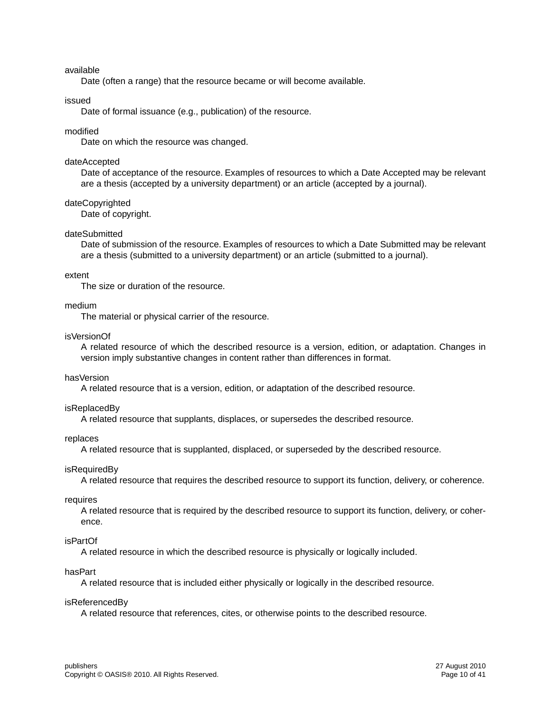#### available

Date (often a range) that the resource became or will become available.

#### issued

Date of formal issuance (e.g., publication) of the resource.

#### modified

Date on which the resource was changed.

#### dateAccepted

Date of acceptance of the resource. Examples of resources to which a Date Accepted may be relevant are a thesis (accepted by a university department) or an article (accepted by a journal).

#### dateCopyrighted

Date of copyright.

#### dateSubmitted

Date of submission of the resource. Examples of resources to which a Date Submitted may be relevant are a thesis (submitted to a university department) or an article (submitted to a journal).

#### extent

The size or duration of the resource.

#### medium

The material or physical carrier of the resource.

#### isVersionOf

A related resource of which the described resource is a version, edition, or adaptation. Changes in version imply substantive changes in content rather than differences in format.

#### hasVersion

A related resource that is a version, edition, or adaptation of the described resource.

#### isReplacedBy

A related resource that supplants, displaces, or supersedes the described resource.

#### replaces

A related resource that is supplanted, displaced, or superseded by the described resource.

#### isRequiredBy

A related resource that requires the described resource to support its function, delivery, or coherence.

#### requires

A related resource that is required by the described resource to support its function, delivery, or coherence.

#### isPartOf

A related resource in which the described resource is physically or logically included.

#### hasPart

A related resource that is included either physically or logically in the described resource.

#### isReferencedBy

A related resource that references, cites, or otherwise points to the described resource.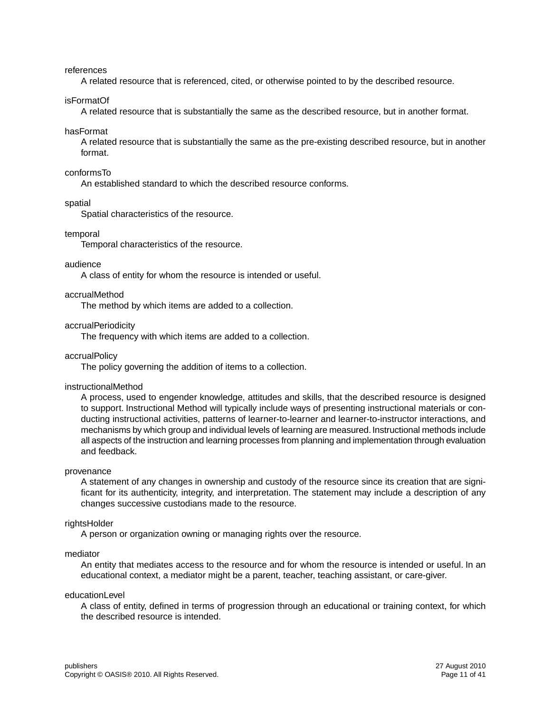references

A related resource that is referenced, cited, or otherwise pointed to by the described resource.

isFormatOf

A related resource that is substantially the same as the described resource, but in another format.

#### hasFormat

A related resource that is substantially the same as the pre-existing described resource, but in another format.

#### conformsTo

An established standard to which the described resource conforms.

spatial

Spatial characteristics of the resource.

#### temporal

Temporal characteristics of the resource.

#### audience

A class of entity for whom the resource is intended or useful.

#### accrualMethod

The method by which items are added to a collection.

#### accrualPeriodicity

The frequency with which items are added to a collection.

#### accrualPolicy

The policy governing the addition of items to a collection.

#### instructionalMethod

A process, used to engender knowledge, attitudes and skills, that the described resource is designed to support. Instructional Method will typically include ways of presenting instructional materials or conducting instructional activities, patterns of learner-to-learner and learner-to-instructor interactions, and mechanisms by which group and individual levels of learning are measured. Instructional methods include all aspects of the instruction and learning processes from planning and implementation through evaluation and feedback.

#### provenance

A statement of any changes in ownership and custody of the resource since its creation that are significant for its authenticity, integrity, and interpretation. The statement may include a description of any changes successive custodians made to the resource.

#### rightsHolder

A person or organization owning or managing rights over the resource.

#### mediator

An entity that mediates access to the resource and for whom the resource is intended or useful. In an educational context, a mediator might be a parent, teacher, teaching assistant, or care-giver.

#### educationLevel

A class of entity, defined in terms of progression through an educational or training context, for which the described resource is intended.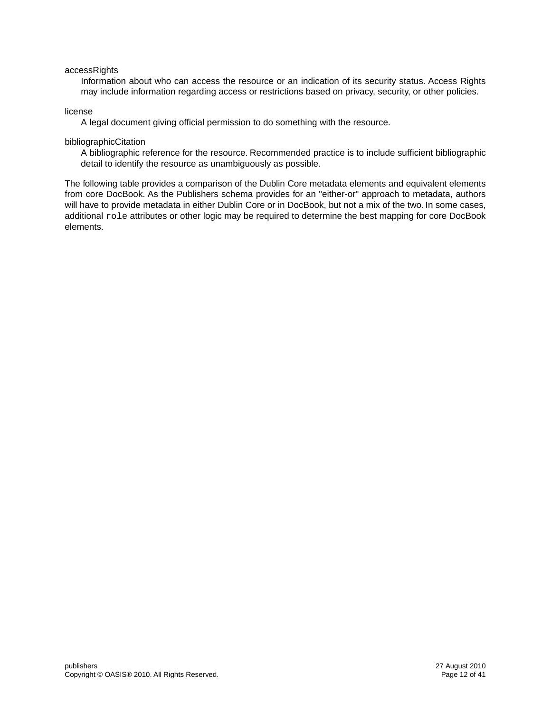#### accessRights

Information about who can access the resource or an indication of its security status. Access Rights may include information regarding access or restrictions based on privacy, security, or other policies.

#### license

A legal document giving official permission to do something with the resource.

#### bibliographicCitation

A bibliographic reference for the resource. Recommended practice is to include sufficient bibliographic detail to identify the resource as unambiguously as possible.

The following table provides a comparison of the Dublin Core metadata elements and equivalent elements from core DocBook. As the Publishers schema provides for an "either-or" approach to metadata, authors will have to provide metadata in either Dublin Core or in DocBook, but not a mix of the two. In some cases, additional role attributes or other logic may be required to determine the best mapping for core DocBook elements.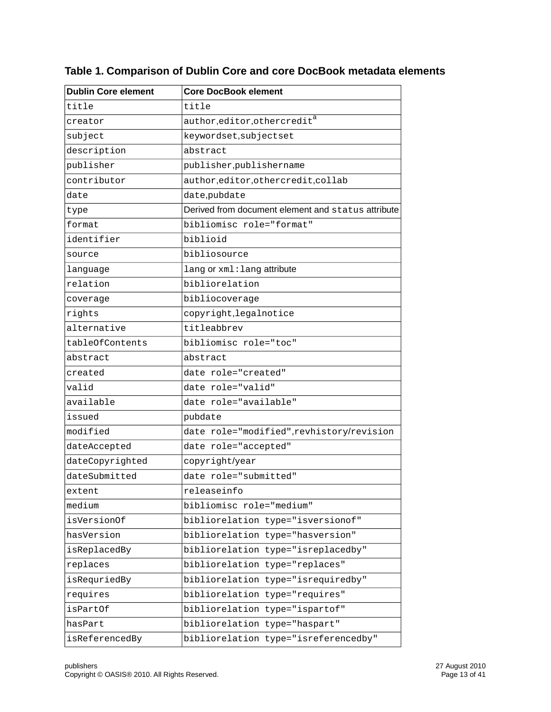| <b>Dublin Core element</b> | <b>Core DocBook element</b>                        |  |  |
|----------------------------|----------------------------------------------------|--|--|
| title                      | title                                              |  |  |
| creator                    | $\text{author}, \text{editor}, \text{othercred}$   |  |  |
| subject                    | keywordset, subjectset                             |  |  |
| description                | abstract                                           |  |  |
| publisher                  | publisher, publishername                           |  |  |
| contributor                | author, editor, other credit, collab               |  |  |
| date                       | date, pubdate                                      |  |  |
| type                       | Derived from document element and status attribute |  |  |
| format                     | bibliomisc role="format"                           |  |  |
| identifier                 | biblioid                                           |  |  |
| source                     | bibliosource                                       |  |  |
| language                   | lang or xml: lang attribute                        |  |  |
| relation                   | bibliorelation                                     |  |  |
| coverage                   | bibliocoverage                                     |  |  |
| rights                     | copyright, legalnotice                             |  |  |
| alternative                | titleabbrev                                        |  |  |
| tableOfContents            | bibliomisc role="toc"                              |  |  |
| abstract                   | abstract                                           |  |  |
| created                    | date role="created"                                |  |  |
| valid                      | date role="valid"                                  |  |  |
| available                  | date role="available"                              |  |  |
| issued                     | pubdate                                            |  |  |
| modified                   | date role="modified", revhistory/revision          |  |  |
| dateAccepted               | date role="accepted"                               |  |  |
| dateCopyrighted            | copyright/year                                     |  |  |
| dateSubmitted              | date role="submitted"                              |  |  |
| extent                     | releaseinfo                                        |  |  |
| medium                     | bibliomisc role="medium"                           |  |  |
| isVersionOf                | bibliorelation type="isversionof"                  |  |  |
| hasVersion                 | bibliorelation type="hasversion"                   |  |  |
| isReplacedBy               | bibliorelation type="isreplacedby"                 |  |  |
| replaces                   | bibliorelation type="replaces"                     |  |  |
| isRequriedBy               | bibliorelation type="isrequiredby"                 |  |  |
| requires                   | bibliorelation type="requires"                     |  |  |
| isPartOf                   | bibliorelation type="ispartof"                     |  |  |
| hasPart                    | bibliorelation type="haspart"                      |  |  |
| isReferencedBy             | bibliorelation type="isreferencedby"               |  |  |

### **Table 1. Comparison of Dublin Core and core DocBook metadata elements**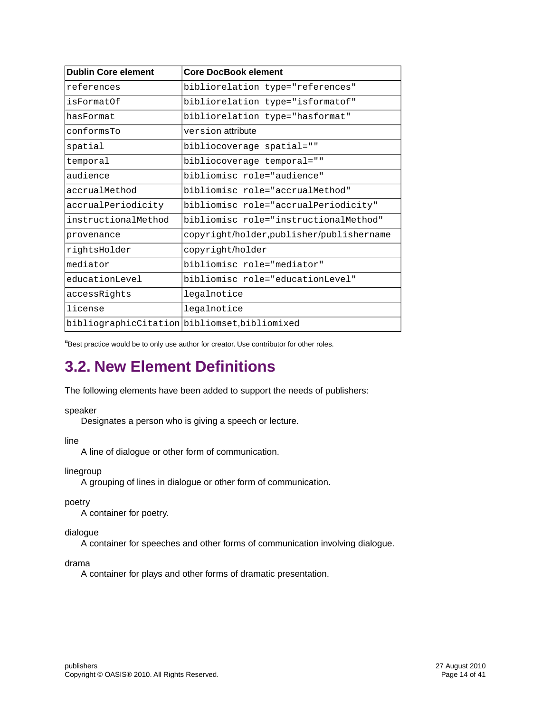| <b>Dublin Core element</b> | <b>Core DocBook element</b>                   |
|----------------------------|-----------------------------------------------|
| references                 | bibliorelation type="references"              |
| isFormatOf                 | bibliorelation type="isformatof"              |
| hasFormat                  | bibliorelation type="hasformat"               |
| conformsTo                 | version attribute                             |
| spatial                    | bibliocoverage spatial=""                     |
| temporal                   | bibliocoverage temporal=""                    |
| audience                   | bibliomisc role="audience"                    |
| accrualMethod              | bibliomisc role="accrualMethod"               |
| accrualPeriodicity         | bibliomisc role="accrualPeriodicity"          |
| instructionalMethod        | bibliomisc role="instructionalMethod"         |
| provenance                 | copyright/holder,publisher/publishername      |
| rightsHolder               | copyright/holder                              |
| mediator                   | bibliomisc role="mediator"                    |
| educationLevel             | bibliomisc role="educationLevel"              |
| accessRights               | legalnotice                                   |
| license                    | legalnotice                                   |
|                            | bibliographicCitation bibliomset, bibliomixed |

<span id="page-13-0"></span><sup>a</sup>Best practice would be to only use author for creator. Use contributor for other roles.

## **3.2. New Element Definitions**

The following elements have been added to support the needs of publishers:

#### speaker

Designates a person who is giving a speech or lecture.

line

A line of dialogue or other form of communication.

linegroup

A grouping of lines in dialogue or other form of communication.

poetry

A container for poetry.

dialogue

A container for speeches and other forms of communication involving dialogue.

drama

A container for plays and other forms of dramatic presentation.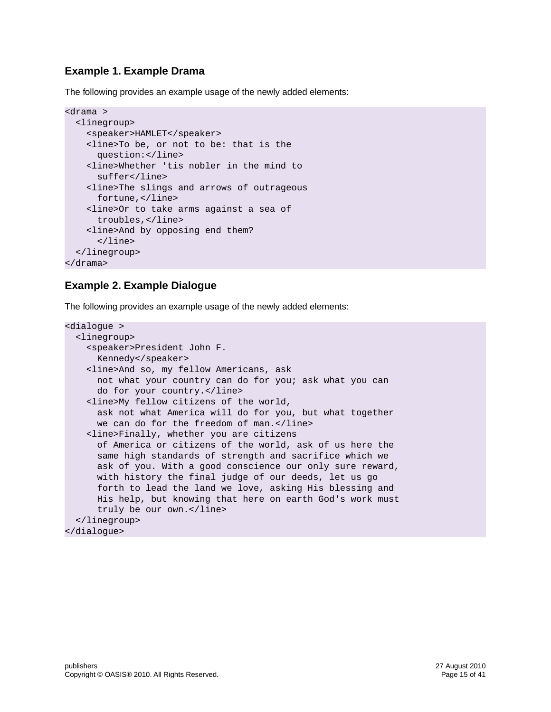### **Example 1. Example Drama**

The following provides an example usage of the newly added elements:

```
<drama >
   <linegroup>
     <speaker>HAMLET</speaker>
     <line>To be, or not to be: that is the 
       question:</line>
     <line>Whether 'tis nobler in the mind to 
       suffer</line>
     <line>The slings and arrows of outrageous 
       fortune,</line>
     <line>Or to take arms against a sea of 
       troubles,</line>
     <line>And by opposing end them?
       </line>
   </linegroup>
</drama>
```
### **Example 2. Example Dialogue**

The following provides an example usage of the newly added elements:

```
<dialogue >
  <linegroup>
     <speaker>President John F. 
       Kennedy</speaker>
     <line>And so, my fellow Americans, ask 
       not what your country can do for you; ask what you can 
       do for your country.</line>
     <line>My fellow citizens of the world, 
       ask not what America will do for you, but what together 
      we can do for the freedom of man.</line>
     <line>Finally, whether you are citizens 
       of America or citizens of the world, ask of us here the 
       same high standards of strength and sacrifice which we 
       ask of you. With a good conscience our only sure reward, 
       with history the final judge of our deeds, let us go 
       forth to lead the land we love, asking His blessing and 
       His help, but knowing that here on earth God's work must 
      truly be our own.</line>
  </linegroup>
</dialogue>
```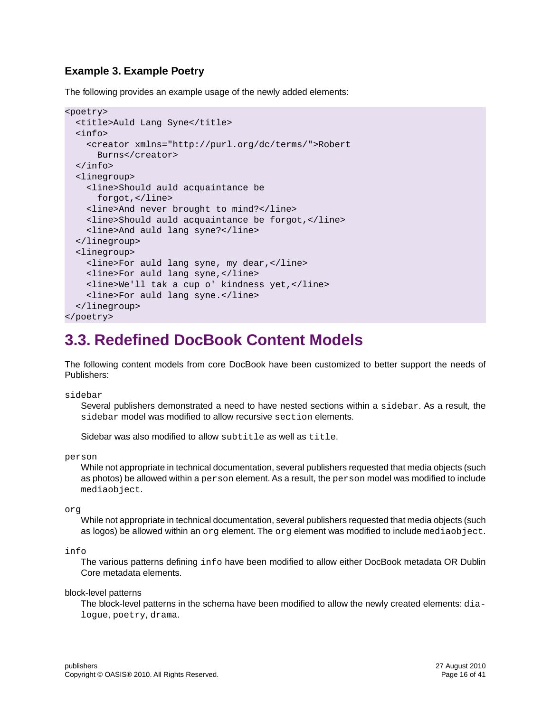### **Example 3. Example Poetry**

The following provides an example usage of the newly added elements:

```
<poetry>
  <title>Auld Lang Syne</title>
   <info>
     <creator xmlns="http://purl.org/dc/terms/">Robert 
       Burns</creator>
   </info>
   <linegroup>
     <line>Should auld acquaintance be 
       forgot,</line>
     <line>And never brought to mind?</line>
     <line>Should auld acquaintance be forgot,</line>
     <line>And auld lang syne?</line>
   </linegroup> 
   <linegroup>
     <line>For auld lang syne, my dear,</line>
     <line>For auld lang syne,</line>
     <line>We'll tak a cup o' kindness yet,</line>
     <line>For auld lang syne.</line>
   </linegroup>
</poetry>
```
### <span id="page-15-0"></span>**3.3. Redefined DocBook Content Models**

The following content models from core DocBook have been customized to better support the needs of Publishers:

sidebar

Several publishers demonstrated a need to have nested sections within a sidebar. As a result, the sidebar model was modified to allow recursive section elements.

Sidebar was also modified to allow subtitle as well as title.

person

While not appropriate in technical documentation, several publishers requested that media objects (such as photos) be allowed within a person element. As a result, the person model was modified to include mediaobject.

org

While not appropriate in technical documentation, several publishers requested that media objects (such as logos) be allowed within an  $\text{org}$  element. The  $\text{org}$  element was modified to include mediaobject.

info

The various patterns defining info have been modified to allow either DocBook metadata OR Dublin Core metadata elements.

block-level patterns

The block-level patterns in the schema have been modified to allow the newly created elements: dialogue, poetry, drama.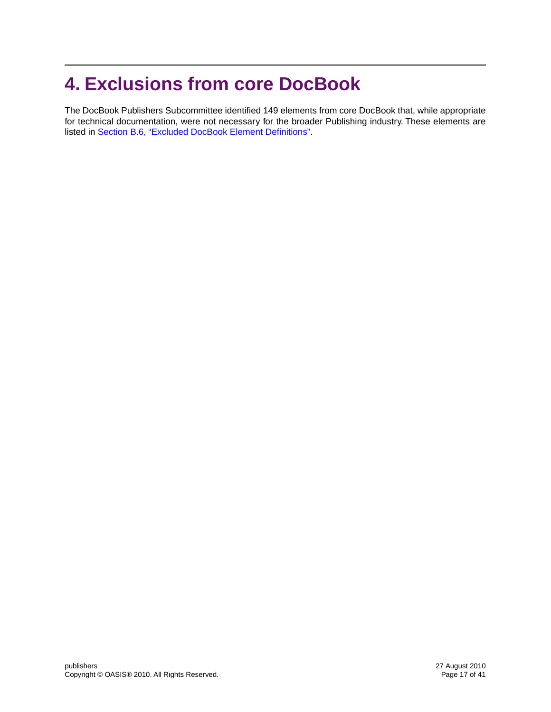## <span id="page-16-0"></span>**4. Exclusions from core DocBook**

The DocBook Publishers Subcommittee identified 149 elements from core DocBook that, while appropriate for technical documentation, were not necessary for the broader Publishing industry. These elements are listed in [Section B.6, "Excluded DocBook Element Definitions".](#page-32-0)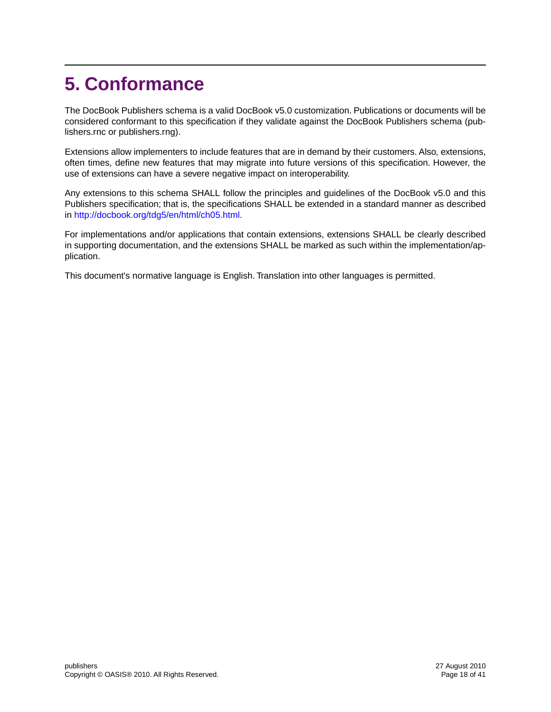## <span id="page-17-0"></span>**5. Conformance**

The DocBook Publishers schema is a valid DocBook v5.0 customization. Publications or documents will be considered conformant to this specification if they validate against the DocBook Publishers schema (publishers.rnc or publishers.rng).

Extensions allow implementers to include features that are in demand by their customers. Also, extensions, often times, define new features that may migrate into future versions of this specification. However, the use of extensions can have a severe negative impact on interoperability.

Any extensions to this schema SHALL follow the principles and guidelines of the DocBook v5.0 and this Publishers specification; that is, the specifications SHALL be extended in a standard manner as described in <http://docbook.org/tdg5/en/html/ch05.html>.

For implementations and/or applications that contain extensions, extensions SHALL be clearly described in supporting documentation, and the extensions SHALL be marked as such within the implementation/application.

This document's normative language is English. Translation into other languages is permitted.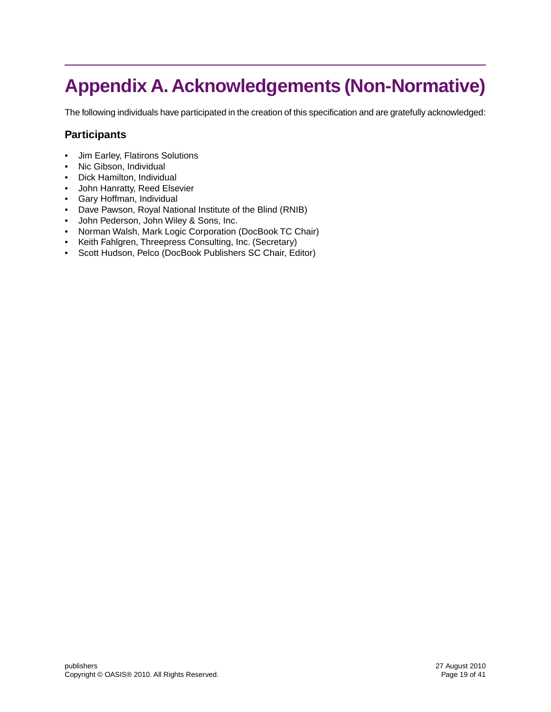## <span id="page-18-0"></span>**Appendix A. Acknowledgements (Non-Normative)**

The following individuals have participated in the creation of this specification and are gratefully acknowledged:

### **Participants**

- Jim Earley, Flatirons Solutions
- Nic Gibson, Individual
- Dick Hamilton, Individual
- John Hanratty, Reed Elsevier
- Gary Hoffman, Individual
- Dave Pawson, Royal National Institute of the Blind (RNIB)
- John Pederson, John Wiley & Sons, Inc.
- Norman Walsh, Mark Logic Corporation (DocBook TC Chair)
- Keith Fahlgren, Threepress Consulting, Inc. (Secretary)
- Scott Hudson, Pelco (DocBook Publishers SC Chair, Editor)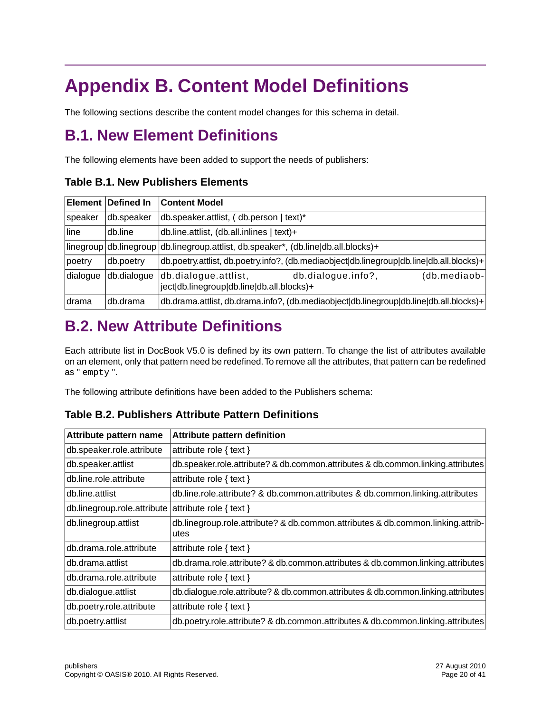## <span id="page-19-0"></span>**Appendix B. Content Model Definitions**

<span id="page-19-1"></span>The following sections describe the content model changes for this schema in detail.

## **B.1. New Element Definitions**

The following elements have been added to support the needs of publishers:

### **Table B.1. New Publishers Elements**

|          | Element Defined In | <b>Content Model</b>                                                                                    |  |  |
|----------|--------------------|---------------------------------------------------------------------------------------------------------|--|--|
| speaker  | db.speaker         | db.speaker.attlist, (db.person   text)*                                                                 |  |  |
| line     | db.line            | db.line.attlist, (db.all.inlines   text)+                                                               |  |  |
|          |                    | linegroup db.linegroup db.linegroup.attlist, db.speaker*, (db.line db.all.blocks)+                      |  |  |
| poetry   | db.poetry          | db.poetry.attlist, db.poetry.info?, (db.mediaobject db.linegroup db.line db.all.blocks)+                |  |  |
| dialogue | db.dialogue        | db.dialogue.attlist,<br>db.dialogue.info?,<br>(db.mediaob-<br>ject db.linegroup db.line db.all.blocks)+ |  |  |
| drama    | db.drama           | db.drama.attlist, db.drama.info?, (db.mediaobject db.linegroup db.line db.all.blocks)+                  |  |  |

## <span id="page-19-2"></span>**B.2. New Attribute Definitions**

Each attribute list in DocBook V5.0 is defined by its own pattern. To change the list of attributes available on an element, only that pattern need be redefined.To remove all the attributes, that pattern can be redefined as " empty ".

The following attribute definitions have been added to the Publishers schema:

### **Table B.2. Publishers Attribute Pattern Definitions**

| Attribute pattern name      | <b>Attribute pattern definition</b>                                               |
|-----------------------------|-----------------------------------------------------------------------------------|
| db.speaker.role.attribute   | attribute role $\{ text\}$                                                        |
| db.speaker.attlist          | db.speaker.role.attribute? & db.common.attributes & db.common.linking.attributes  |
| db.line.role.attribute      | attribute role $\{ text\}$                                                        |
| db.line.attlist             | db.line.role.attribute? & db.common.attributes & db.common.linking.attributes     |
| db.linegroup.role.attribute | attribute role $\{ text\}$                                                        |
| db.linegroup.attlist        | db.linegroup.role.attribute? & db.common.attributes & db.common.linking.attrib-   |
|                             | utes                                                                              |
| db.drama.role.attribute     | attribute role $\{ text\}$                                                        |
| db.drama.attlist            | db.drama.role.attribute? & db.common.attributes & db.common.linking.attributes    |
| db.drama.role.attribute     | attribute role $\{ text\}$                                                        |
| db.dialogue.attlist         | db.dialogue.role.attribute? & db.common.attributes & db.common.linking.attributes |
| db.poetry.role.attribute    | attribute role $\{ text\}$                                                        |
| db.poetry.attlist           | db.poetry.role.attribute? & db.common.attributes & db.common.linking.attributes   |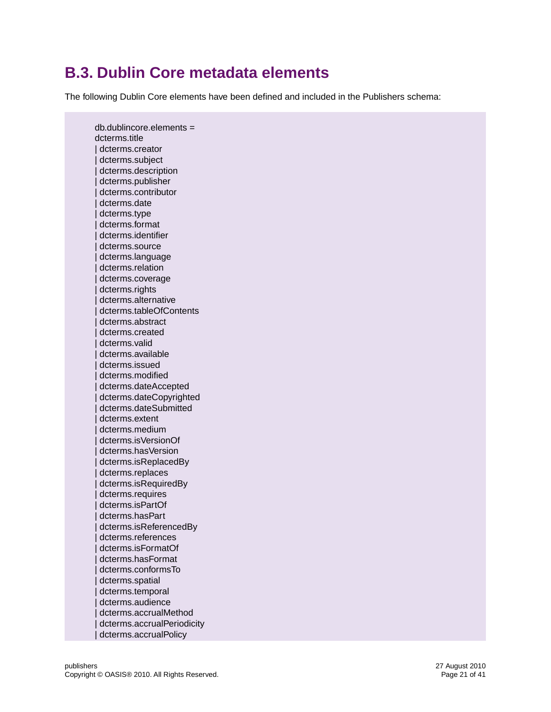## <span id="page-20-0"></span>**B.3. Dublin Core metadata elements**

The following Dublin Core elements have been defined and included in the Publishers schema:

 db.dublincore.elements = dcterms.title | dcterms.creator | dcterms.subject dcterms.description | dcterms.publisher | dcterms.contributor dcterms.date dcterms.type | dcterms.format | dcterms.identifier dcterms.source dcterms.language | dcterms.relation dcterms.coverage dcterms.rights | dcterms.alternative | dcterms.tableOfContents dcterms.abstract dcterms.created | dcterms.valid | dcterms.available dcterms.issued | dcterms.modified | dcterms.dateAccepted dcterms.dateCopyrighted | dcterms.dateSubmitted dcterms.extent dcterms.medium | dcterms.isVersionOf | dcterms.hasVersion | dcterms.isReplacedBy | dcterms.replaces dcterms.isRequiredBy dcterms.requires | dcterms.isPartOf | dcterms.hasPart dcterms.isReferencedBy | dcterms.references | dcterms.isFormatOf dcterms.hasFormat | dcterms.conformsTo | dcterms.spatial dcterms.temporal dcterms.audience dcterms.accrualMethod | dcterms.accrualPeriodicity | dcterms.accrualPolicy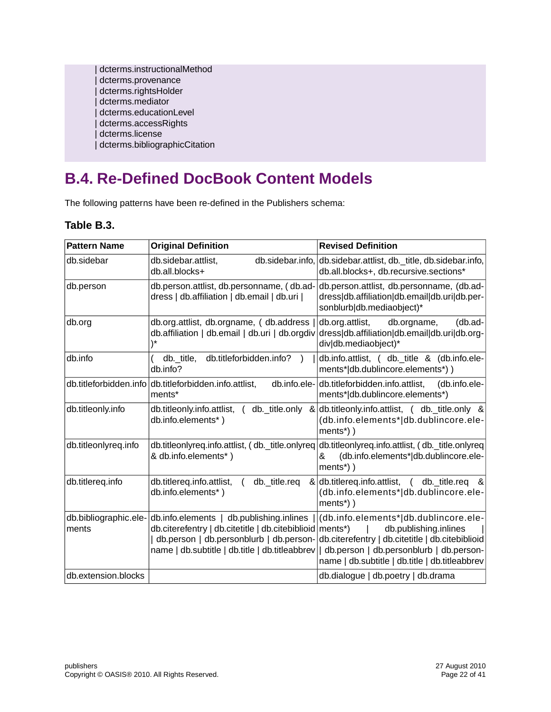| dcterms.instructionalMethod   |
|-------------------------------|
| dcterms.provenance            |
| dcterms.rightsHolder          |
| dcterms.mediator              |
| dcterms.educationLevel        |
| dcterms.accessRights          |
| dcterms.license               |
| dcterms.bibliographicCitation |

## <span id="page-21-0"></span>**B.4. Re-Defined DocBook Content Models**

The following patterns have been re-defined in the Publishers schema:

### **Table B.3.**

| <b>Pattern Name</b>  | <b>Original Definition</b>                                                                                                                                                     | <b>Revised Definition</b>                                                                                                                                                                                                                                 |
|----------------------|--------------------------------------------------------------------------------------------------------------------------------------------------------------------------------|-----------------------------------------------------------------------------------------------------------------------------------------------------------------------------------------------------------------------------------------------------------|
| db.sidebar           | db.sidebar.attlist,<br>db.all.blocks+                                                                                                                                          | db.sidebar.info, db.sidebar.attlist, db. title, db.sidebar.info,<br>db.all.blocks+, db.recursive.sections*                                                                                                                                                |
| db.person            | db.person.attlist, db.personname, (db.ad-<br>dress   db.affiliation   db.email   db.uri                                                                                        | db.person.attlist, db.personname, (db.ad-<br>dress db.affiliation db.email db.uri db.per-<br>sonblurb db.mediaobject)*                                                                                                                                    |
| db.org               | db.org.attlist, db.orgname, (db.address<br>db.affiliation   db.email   db.uri   db.orgdiv                                                                                      | db.org.attlist,<br>(db.ad-<br>db.orgname,<br>dress db.affiliation db.email db.uri db.org-<br>div db.mediaobject)*                                                                                                                                         |
| db.info              | db.titleforbidden.info?<br>db. title,<br>db.info?                                                                                                                              | db.info.attlist, ( db._title & (db.info.ele-<br>ments* db.dublincore.elements*))                                                                                                                                                                          |
|                      | db.titleforbidden.info db.titleforbidden.info.attlist,<br>ments*                                                                                                               | db.info.ele-db.titleforbidden.info.attlist,<br>(db.info.ele-<br>ments* db.dublincore.elements*)                                                                                                                                                           |
| db.titleonly.info    | db.info.elements*)                                                                                                                                                             | db.titleonly.info.attlist, $($ db. title.only $\&$ db.titleonly.info.attlist, $($ db. title.only $\&$<br>(db.info.elements* db.dublincore.ele-<br>ments <sup>*</sup> ) )                                                                                  |
| db.titleonlyreq.info | & db.info.elements*)                                                                                                                                                           | db.titleonlyreq.info.attlist, (db._title.onlyreq db.titleonlyreq.info.attlist, (db._title.onlyreq<br>(db.info.elements* db.dublincore.ele-<br>&<br>ments <sup>*</sup> ) )                                                                                 |
| db.titlereq.info     | db.titlereq.info.attlist,<br>db._title.req<br>db.info.elements*)                                                                                                               | & db.titlereq.info.attlist, ( db. title.req<br>୍ଥ ଧ<br>(db.info.elements* db.dublincore.ele-<br>$ments*)$ )                                                                                                                                               |
| ments                | db.bibliographic.ele- db.info.elements   db.publishing.inlines<br>db.citerefentry   db.citetitle   db.citebiblioid   ments*)<br>name   db.subtitle   db.title   db.titleabbrev | (db.info.elements* db.dublincore.ele-<br>db.publishing.inlines<br>  db.person   db.personblurb   db.person- db.citerefentry   db.citetitle   db.citebiblioid<br>db.person   db.personblurb   db.person-<br>name   db.subtitle   db.title   db.titleabbrev |
| db.extension.blocks  |                                                                                                                                                                                | db.dialogue   db.poetry   db.drama                                                                                                                                                                                                                        |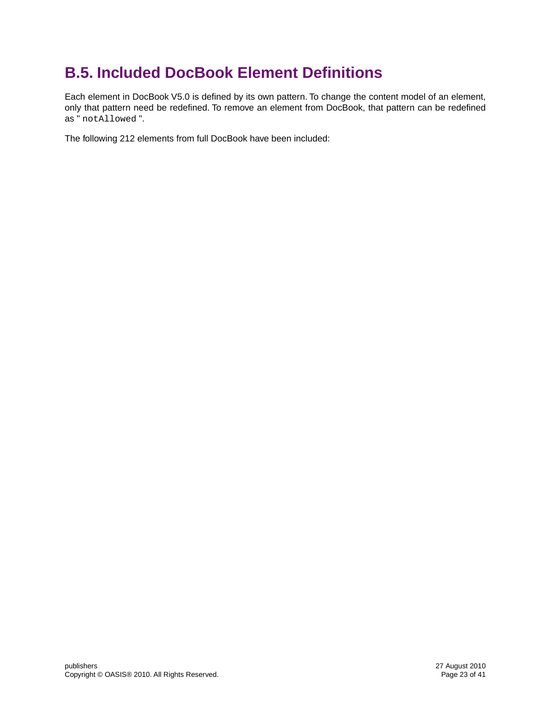## <span id="page-22-0"></span>**B.5. Included DocBook Element Definitions**

Each element in DocBook V5.0 is defined by its own pattern. To change the content model of an element, only that pattern need be redefined. To remove an element from DocBook, that pattern can be redefined as " notAllowed ".

The following 212 elements from full DocBook have been included: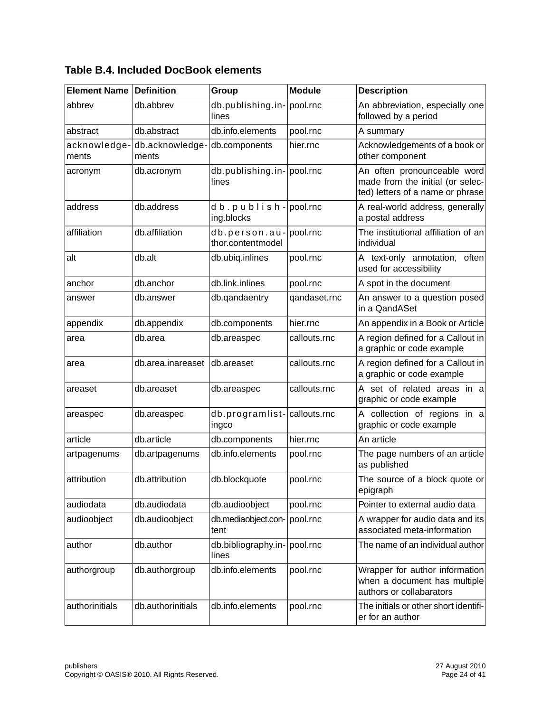| <b>Element Name</b>   | <b>Definition</b>        | Group                                         | <b>Module</b> | <b>Description</b>                                                                                  |
|-----------------------|--------------------------|-----------------------------------------------|---------------|-----------------------------------------------------------------------------------------------------|
| abbrev                | db.abbrev                | db.publishing.in-<br>lines                    | pool.rnc      | An abbreviation, especially one<br>followed by a period                                             |
| abstract              | db.abstract              | db.info.elements                              | pool.rnc      | A summary                                                                                           |
| acknowledge-<br>ments | db.acknowledge-<br>ments | db.components                                 | hier.rnc      | Acknowledgements of a book or<br>other component                                                    |
| acronym               | db.acronym               | db.publishing.in-<br>lines                    | pool.rnc      | An often pronounceable word<br>made from the initial (or selec-<br>ted) letters of a name or phrase |
| address               | db.address               | $d b. p u b l i s h -$ pool.rnc<br>ing.blocks |               | A real-world address, generally<br>a postal address                                                 |
| affiliation           | db.affiliation           | db.person.au-<br>thor.contentmodel            | pool.rnc      | The institutional affiliation of an<br>individual                                                   |
| alt                   | db.alt                   | db.ubiq.inlines                               | pool.rnc      | A text-only annotation, often<br>used for accessibility                                             |
| anchor                | db.anchor                | db.link.inlines                               | pool.rnc      | A spot in the document                                                                              |
| answer                | db.answer                | db.qandaentry                                 | qandaset.rnc  | An answer to a question posed<br>in a QandASet                                                      |
| appendix              | db.appendix              | db.components                                 | hier.rnc      | An appendix in a Book or Article                                                                    |
| area                  | db.area                  | db.areaspec                                   | callouts.rnc  | A region defined for a Callout in<br>a graphic or code example                                      |
| area                  | db.area.inareaset        | Idb.areaset                                   | callouts.rnc  | A region defined for a Callout in<br>a graphic or code example                                      |
| areaset               | db.areaset               | db.areaspec                                   | callouts.rnc  | A set of related areas in a<br>graphic or code example                                              |
| areaspec              | db.areaspec              | db.programlist-<br>ingco                      | callouts.rnc  | A collection of regions in a<br>graphic or code example                                             |
| article               | db.article               | db.components                                 | hier.rnc      | An article                                                                                          |
| artpagenums           | db.artpagenums           | db.info.elements                              | pool.rnc      | The page numbers of an article<br>as published                                                      |
| attribution           | db.attribution           | db.blockquote                                 | pool.rnc      | The source of a block quote or<br>epigraph                                                          |
| audiodata             | db.audiodata             | db.audioobject                                | pool.rnc      | Pointer to external audio data                                                                      |
| audioobject           | db.audioobject           | db.mediaobject.con-<br>tent                   | pool.rnc      | A wrapper for audio data and its<br>associated meta-information                                     |
| author                | db.author                | db.bibliography.in-<br>lines                  | pool.rnc      | The name of an individual author                                                                    |
| authorgroup           | db.authorgroup           | db.info.elements                              | pool.rnc      | Wrapper for author information<br>when a document has multiple<br>authors or collabarators          |
| authorinitials        | db.authorinitials        | db.info.elements                              | pool.rnc      | The initials or other short identifi-<br>er for an author                                           |

### **Table B.4. Included DocBook elements**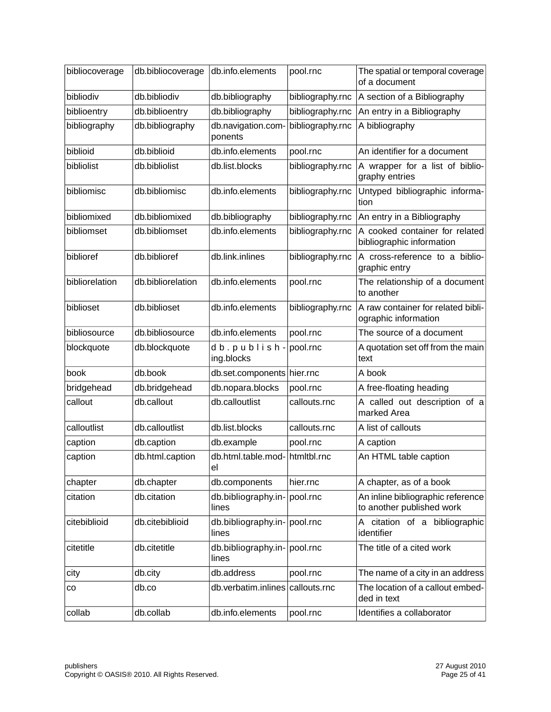| bibliocoverage | db.bibliocoverage | db.info.elements                      | pool.rnc         | The spatial or temporal coverage<br>of a document              |
|----------------|-------------------|---------------------------------------|------------------|----------------------------------------------------------------|
| bibliodiv      | db.bibliodiv      | db.bibliography                       | bibliography.rnc | A section of a Bibliography                                    |
| biblioentry    | db.biblioentry    | db.bibliography                       | bibliography.rnc | An entry in a Bibliography                                     |
| bibliography   | db.bibliography   | db.navigation.com-<br>ponents         | bibliography.rnc | A bibliography                                                 |
| biblioid       | db.biblioid       | db.info.elements                      | pool.rnc         | An identifier for a document                                   |
| bibliolist     | db.bibliolist     | db.list.blocks                        | bibliography.rnc | A wrapper for a list of biblio-<br>graphy entries              |
| bibliomisc     | db.bibliomisc     | db.info.elements                      | bibliography.rnc | Untyped bibliographic informa-<br>tion                         |
| bibliomixed    | db.bibliomixed    | db.bibliography                       | bibliography.rnc | An entry in a Bibliography                                     |
| bibliomset     | db.bibliomset     | db.info.elements                      | bibliography.rnc | A cooked container for related<br>bibliographic information    |
| biblioref      | db.biblioref      | db.link.inlines                       | bibliography.rnc | A cross-reference to a biblio-<br>graphic entry                |
| bibliorelation | db.bibliorelation | db.info.elements                      | pool.rnc         | The relationship of a document<br>to another                   |
| biblioset      | db.biblioset      | db.info.elements                      | bibliography.rnc | A raw container for related bibli-<br>ographic information     |
| bibliosource   | db.bibliosource   | db.info.elements                      | pool.rnc         | The source of a document                                       |
| blockquote     | db.blockquote     | db.publish-                           | pool.rnc         | A quotation set off from the main                              |
|                |                   | ing.blocks                            |                  | text                                                           |
| book           | db.book           | db.set.components hier.rnc            |                  | A book                                                         |
| bridgehead     | db.bridgehead     | db.nopara.blocks                      | pool.rnc         | A free-floating heading                                        |
| callout        | db.callout        | db.calloutlist                        | callouts.rnc     | A called out description of a<br>marked Area                   |
| calloutlist    | db.calloutlist    | db.list.blocks                        | callouts.rnc     | A list of callouts                                             |
| caption        | db.caption        | db.example                            | pool.rnc         | A caption                                                      |
| caption        | db.html.caption   | db.html.table.mod- htmltbl.rnc<br>el  |                  | An HTML table caption                                          |
| chapter        | db.chapter        | db.components                         | hier.rnc         | A chapter, as of a book                                        |
| citation       | db.citation       | db.bibliography.in-<br>lines          | pool.rnc         | An inline bibliographic reference<br>to another published work |
| citebiblioid   | db.citebiblioid   | db.bibliography.in- pool.rnc<br>lines |                  | A citation of a bibliographic<br>identifier                    |
| citetitle      | db.citetitle      | db.bibliography.in- pool.rnc<br>lines |                  | The title of a cited work                                      |
| city           | db.city           | db.address                            | pool.rnc         | The name of a city in an address                               |
| $_{\rm CO}$    | db.co             | db.verbatim.inlines callouts.rnc      |                  | The location of a callout embed-<br>ded in text                |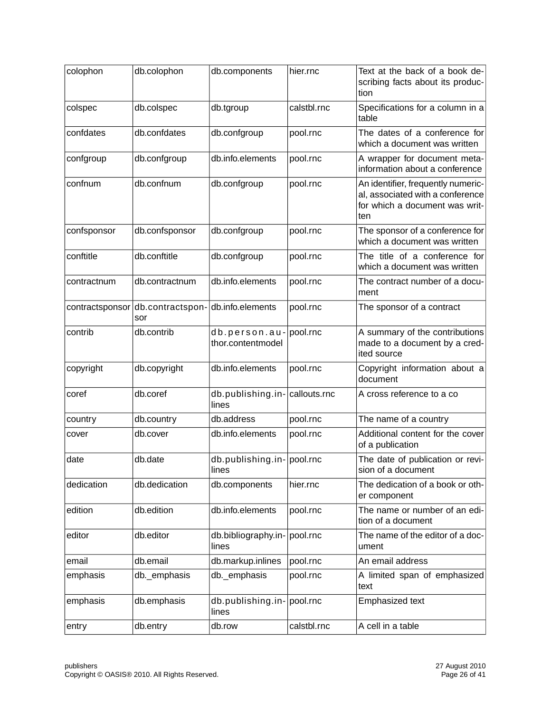| colophon    | db.colophon                             | db.components                          | hier.rnc    | Text at the back of a book de-<br>scribing facts about its produc-<br>tion                                      |
|-------------|-----------------------------------------|----------------------------------------|-------------|-----------------------------------------------------------------------------------------------------------------|
| colspec     | db.colspec                              | db.tgroup                              | calstbl.rnc | Specifications for a column in a<br>table                                                                       |
| confdates   | db.confdates                            | db.confgroup                           | pool.rnc    | The dates of a conference for<br>which a document was written                                                   |
| confgroup   | db.confgroup                            | db.info.elements                       | pool.rnc    | A wrapper for document meta-<br>information about a conference                                                  |
| confnum     | db.confnum                              | db.confgroup                           | pool.rnc    | An identifier, frequently numeric-<br>al, associated with a conference<br>for which a document was writ-<br>ten |
| confsponsor | db.confsponsor                          | db.confgroup                           | pool.rnc    | The sponsor of a conference for<br>which a document was written                                                 |
| conftitle   | db.conftitle                            | db.confgroup                           | pool.rnc    | The title of a conference for<br>which a document was written                                                   |
| contractnum | db.contractnum                          | db.info.elements                       | pool.rnc    | The contract number of a docu-<br>ment                                                                          |
|             | contractsponsor db.contractspon-<br>sor | db.info.elements                       | pool.rnc    | The sponsor of a contract                                                                                       |
| contrib     | db.contrib                              | db.person.au-<br>thor.contentmodel     | pool.rnc    | A summary of the contributions<br>made to a document by a cred-<br>ited source                                  |
| copyright   | db.copyright                            | db.info.elements                       | pool.rnc    | Copyright information about a<br>document                                                                       |
| coref       | db.coref                                | db.publishing.in-callouts.rnc<br>lines |             | A cross reference to a co                                                                                       |
| country     | db.country                              | db.address                             | pool.rnc    | The name of a country                                                                                           |
| cover       | db.cover                                | db.info.elements                       | pool.rnc    | Additional content for the cover<br>of a publication                                                            |
| date        | db.date                                 | db.publishing.in- pool.rnc<br>lines    |             | The date of publication or revi-<br>sion of a document                                                          |
| dedication  | db.dedication                           | db.components                          | hier.rnc    | The dedication of a book or oth-<br>er component                                                                |
| edition     | db.edition                              | db.info.elements                       | pool.rnc    | The name or number of an edi-<br>tion of a document                                                             |
| editor      | db.editor                               | db.bibliography.in- pool.rnc<br>lines  |             | The name of the editor of a doc-<br>ument                                                                       |
| email       | db.email                                | db.markup.inlines                      | pool.rnc    | An email address                                                                                                |
| emphasis    | db._emphasis                            | db. emphasis                           | pool.rnc    | A limited span of emphasized<br>text                                                                            |
| emphasis    | db.emphasis                             | db.publishing.in- pool.rnc<br>lines    |             | <b>Emphasized text</b>                                                                                          |
| entry       | db.entry                                | db.row                                 | calstbl.rnc | A cell in a table                                                                                               |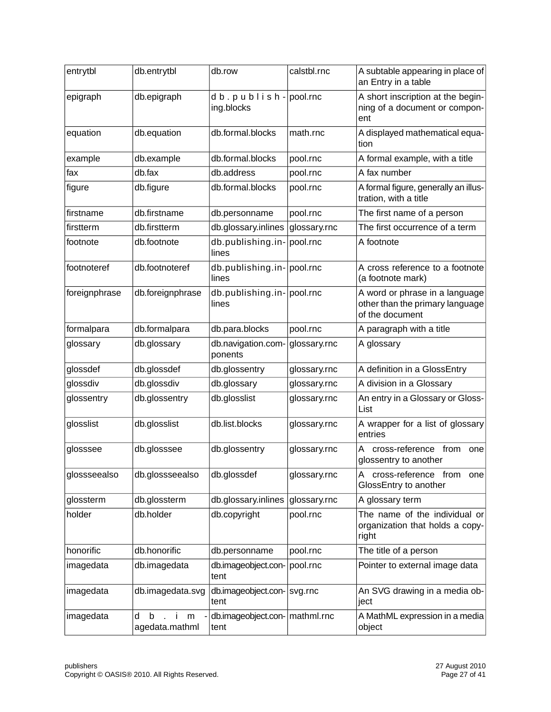| entrytbl      | db.entrytbl                   | db.row                                        | calstbl.rnc  | A subtable appearing in place of<br>an Entry in a table                              |
|---------------|-------------------------------|-----------------------------------------------|--------------|--------------------------------------------------------------------------------------|
| epigraph      | db.epigraph                   | $d b. p u b l i s h -$ pool.rnc<br>ing.blocks |              | A short inscription at the begin-<br>ning of a document or compon-<br>ent            |
| equation      | db.equation                   | db.formal.blocks                              | math.rnc     | A displayed mathematical equa-<br>tion                                               |
| example       | db.example                    | db.formal.blocks                              | pool.rnc     | A formal example, with a title                                                       |
| fax           | db.fax                        | db.address                                    | pool.rnc     | A fax number                                                                         |
| figure        | db.figure                     | db.formal.blocks                              | pool.rnc     | A formal figure, generally an illus-<br>tration, with a title                        |
| firstname     | db.firstname                  | db.personname                                 | pool.rnc     | The first name of a person                                                           |
| firstterm     | db.firstterm                  | db.glossary.inlines                           | glossary.rnc | The first occurrence of a term                                                       |
| footnote      | db.footnote                   | db.publishing.in-pool.rnc<br>lines            |              | A footnote                                                                           |
| footnoteref   | db.footnoteref                | db.publishing.in-pool.rnc<br>lines            |              | A cross reference to a footnote<br>(a footnote mark)                                 |
| foreignphrase | db.foreignphrase              | db.publishing.in-pool.rnc<br>lines            |              | A word or phrase in a language<br>other than the primary language<br>of the document |
| formalpara    | db.formalpara                 | db.para.blocks                                | pool.rnc     | A paragraph with a title                                                             |
| glossary      | db.glossary                   | db.navigation.com-<br>ponents                 | glossary.rnc | A glossary                                                                           |
| glossdef      | db.glossdef                   | db.glossentry                                 | glossary.rnc | A definition in a GlossEntry                                                         |
| glossdiv      | db.glossdiv                   | db.glossary                                   | glossary.rnc | A division in a Glossary                                                             |
| glossentry    | db.glossentry                 | db.glosslist                                  | glossary.rnc | An entry in a Glossary or Gloss-<br>List                                             |
| glosslist     | db.glosslist                  | db.list.blocks                                | glossary.rnc | A wrapper for a list of glossary<br>entries                                          |
| glosssee      | db.glosssee                   | db.glossentry                                 | glossary.rnc | cross-reference from<br>one<br>glossentry to another                                 |
| glossseealso  | db.glossseealso               | db.glossdef                                   | glossary.rnc | cross-reference from<br>Α<br>one<br>GlossEntry to another                            |
| glossterm     | db.glossterm                  | db.glossary.inlines                           | glossary.rnc | A glossary term                                                                      |
| holder        | db.holder                     | db.copyright                                  | pool.rnc     | The name of the individual or<br>organization that holds a copy-<br>right            |
| honorific     | db.honorific                  | db.personname                                 | pool.rnc     | The title of a person                                                                |
| imagedata     | db.imagedata                  | db.imageobject.con-   pool.rnc<br>tent        |              | Pointer to external image data                                                       |
| imagedata     | db.imagedata.svg              | db.imageobject.con- svg.rnc<br>tent           |              | An SVG drawing in a media ob-<br>ject                                                |
| imagedata     | d<br>b<br>m<br>agedata.mathml | db.imageobject.con-   mathml.rnc<br>tent      |              | A MathML expression in a media<br>object                                             |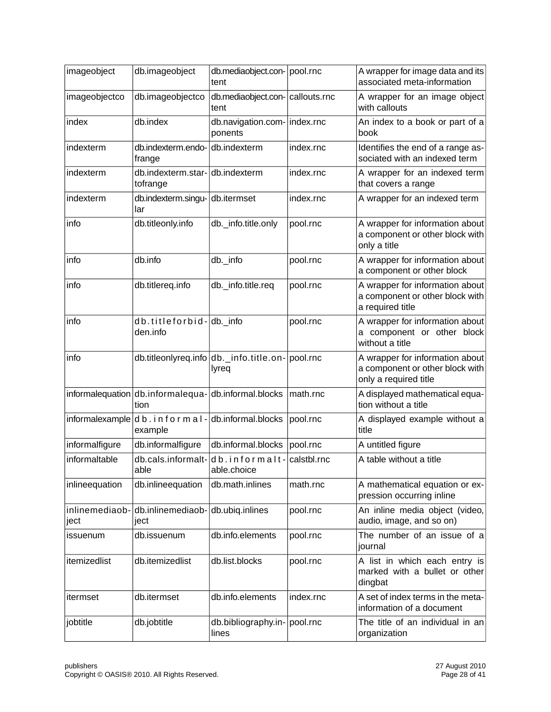| imageobject            | db.imageobject                           | db.mediaobject.con-   pool.rnc<br>tent                    |             | A wrapper for image data and its<br>associated meta-information                             |
|------------------------|------------------------------------------|-----------------------------------------------------------|-------------|---------------------------------------------------------------------------------------------|
| imageobjectco          | db.imageobjectco                         | db.mediaobject.con- callouts.rnc<br>tent                  |             | A wrapper for an image object<br>with callouts                                              |
| index                  | db.index                                 | db.navigation.com-   index.rnc<br>ponents                 |             | An index to a book or part of a<br>book                                                     |
| indexterm              | db.indexterm.endo-<br>frange             | db.indexterm                                              | index.rnc   | Identifies the end of a range as-<br>sociated with an indexed term                          |
| indexterm              | db.indexterm.star-<br>tofrange           | db.indexterm                                              | index.rnc   | A wrapper for an indexed term<br>that covers a range                                        |
| indexterm              | db.indexterm.singu-<br>lar               | db.itermset                                               | index.rnc   | A wrapper for an indexed term                                                               |
| info                   | db.titleonly.info                        | db._info.title.only                                       | pool.rnc    | A wrapper for information about<br>a component or other block with<br>only a title          |
| info                   | db.info                                  | db._info                                                  | pool.rnc    | A wrapper for information about<br>a component or other block                               |
| info                   | db.titlereq.info                         | db._info.title.req                                        | pool.rnc    | A wrapper for information about<br>a component or other block with<br>a required title      |
| info                   | db.titleforbid-db. info<br>den.info      |                                                           | pool.rnc    | A wrapper for information about<br>a component or other block<br>without a title            |
| info                   |                                          | db.titleonlyreq.info db._info.title.on- pool.rnc<br>lyreq |             | A wrapper for information about<br>a component or other block with<br>only a required title |
|                        | tion                                     | informalequation db.informalequa-db.informal.blocks       | math.rnc    | A displayed mathematical equa-<br>tion without a title                                      |
|                        | informalexample db. informal-<br>example | db.informal.blocks                                        | pool.rnc    | A displayed example without a<br>title                                                      |
| informalfigure         | db.informalfigure                        | db.informal.blocks                                        | pool.rnc    | A untitled figure                                                                           |
| informaltable          | db.cals.informalt-<br>able               | db.informalt-<br>able.choice                              | calstbl.rnc | A table without a title                                                                     |
| inlineequation         | db.inlineequation                        | db.math.inlines                                           | math.rnc    | A mathematical equation or ex-<br>pression occurring inline                                 |
| inlinemediaob-<br>ject | db.inlinemediaob-<br>ject                | db.ubiq.inlines                                           | pool.rnc    | An inline media object (video,<br>audio, image, and so on)                                  |
| issuenum               | db.issuenum                              | db.info.elements                                          | pool.rnc    | The number of an issue of a<br>journal                                                      |
| itemizedlist           | db.itemizedlist                          | db.list.blocks                                            | pool.rnc    | A list in which each entry is<br>marked with a bullet or other<br>dingbat                   |
| itermset               | db.itermset                              | db.info.elements                                          | index.rnc   | A set of index terms in the meta-<br>information of a document                              |
| jobtitle               | db.jobtitle                              | db.bibliography.in-   pool.rnc<br>lines                   |             | The title of an individual in an<br>organization                                            |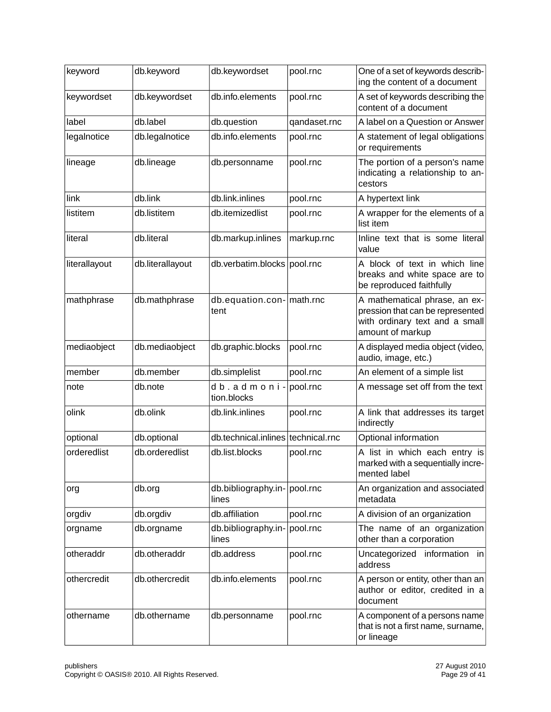| keyword       | db.keyword       | db.keywordset                         | pool.rnc     | One of a set of keywords describ-<br>ing the content of a document                                                      |
|---------------|------------------|---------------------------------------|--------------|-------------------------------------------------------------------------------------------------------------------------|
| keywordset    | db.keywordset    | db.info.elements                      | pool.rnc     | A set of keywords describing the<br>content of a document                                                               |
| label         | db.label         | db.question                           | qandaset.rnc | A label on a Question or Answer                                                                                         |
| legalnotice   | db.legalnotice   | db.info.elements                      | pool.rnc     | A statement of legal obligations<br>or requirements                                                                     |
| lineage       | db.lineage       | db.personname                         | pool.rnc     | The portion of a person's name<br>indicating a relationship to an-<br>cestors                                           |
| link          | db.link          | db.link.inlines                       | pool.rnc     | A hypertext link                                                                                                        |
| listitem      | db.listitem      | db.itemizedlist                       | pool.rnc     | A wrapper for the elements of a<br>list item                                                                            |
| literal       | db.literal       | db.markup.inlines                     | markup.rnc   | Inline text that is some literal<br>value                                                                               |
| literallayout | db.literallayout | db.verbatim.blocks pool.rnc           |              | A block of text in which line<br>breaks and white space are to<br>be reproduced faithfully                              |
| mathphrase    | db.mathphrase    | db.equation.con- math.rnc<br>tent     |              | A mathematical phrase, an ex-<br>pression that can be represented<br>with ordinary text and a small<br>amount of markup |
| mediaobject   | db.mediaobject   | db.graphic.blocks                     | pool.rnc     | A displayed media object (video,<br>audio, image, etc.)                                                                 |
| member        | db.member        | db.simplelist                         | pool.rnc     | An element of a simple list                                                                                             |
| note          | db.note          | db.admoni-<br>tion.blocks             | pool.rnc     | A message set off from the text                                                                                         |
| olink         | db.olink         | db.link.inlines                       | pool.rnc     | A link that addresses its target<br>indirectly                                                                          |
| optional      | db.optional      | db.technical.inlines technical.rnc    |              | Optional information                                                                                                    |
| orderedlist   | db.orderedlist   | db.list.blocks                        | pool.rnc     | A list in which each entry is<br>marked with a sequentially incre-<br>mented label                                      |
| org           | db.org           | db.bibliography.in- pool.rnc<br>lines |              | An organization and associated<br>metadata                                                                              |
| orgdiv        | db.orgdiv        | db.affiliation                        | pool.rnc     | A division of an organization                                                                                           |
| orgname       | db.orgname       | db.bibliography.in-<br>lines          | pool.rnc     | The name of an organization<br>other than a corporation                                                                 |
| otheraddr     | db.otheraddr     | db.address                            | pool.rnc     | Uncategorized information in<br>address                                                                                 |
| othercredit   | db.othercredit   | db.info.elements                      | pool.rnc     | A person or entity, other than an<br>author or editor, credited in a<br>document                                        |
| othername     | db.othername     | db.personname                         | pool.rnc     | A component of a persons name<br>that is not a first name, surname,<br>or lineage                                       |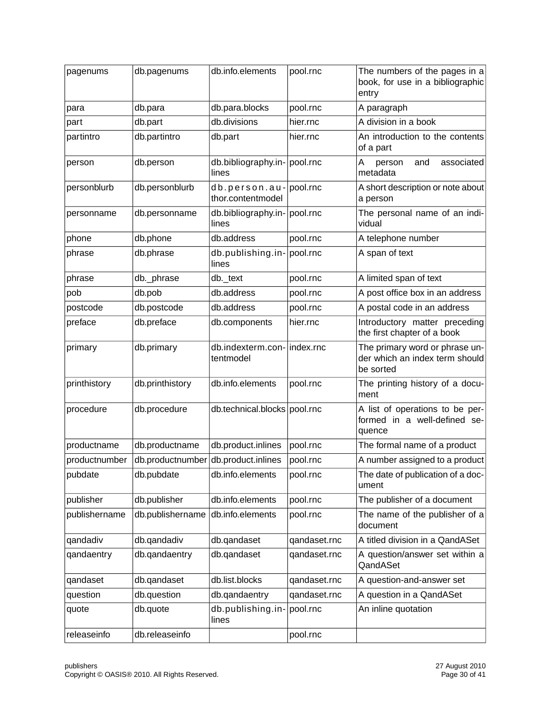| pagenums      | db.pagenums      | db.info.elements                               | pool.rnc     | The numbers of the pages in a<br>book, for use in a bibliographic<br>entry    |
|---------------|------------------|------------------------------------------------|--------------|-------------------------------------------------------------------------------|
| para          | db.para          | db.para.blocks                                 | pool.rnc     | A paragraph                                                                   |
| part          | db.part          | db.divisions                                   | hier.rnc     | A division in a book                                                          |
| partintro     | db.partintro     | db.part                                        | hier.rnc     | An introduction to the contents<br>of a part                                  |
| person        | db.person        | db.bibliography.in- pool.rnc<br>lines          |              | А<br>associated<br>and<br>person<br>metadata                                  |
| personblurb   | db.personblurb   | $db.person.au$ - pool.rnc<br>thor.contentmodel |              | A short description or note about<br>a person                                 |
| personname    | db.personname    | db.bibliography.in- pool.rnc<br>lines          |              | The personal name of an indi-<br>vidual                                       |
| phone         | db.phone         | db.address                                     | pool.rnc     | A telephone number                                                            |
| phrase        | db.phrase        | db.publishing.in- pool.rnc<br>lines            |              | A span of text                                                                |
| phrase        | db._phrase       | db._text                                       | pool.rnc     | A limited span of text                                                        |
| pob           | db.pob           | db.address                                     | pool.rnc     | A post office box in an address                                               |
| postcode      | db.postcode      | db.address                                     | pool.rnc     | A postal code in an address                                                   |
| preface       | db.preface       | db.components                                  | hier.rnc     | Introductory matter preceding<br>the first chapter of a book                  |
| primary       | db.primary       | db.indexterm.con- index.rnc<br>tentmodel       |              | The primary word or phrase un-<br>der which an index term should<br>be sorted |
| printhistory  | db.printhistory  | db.info.elements                               | pool.rnc     | The printing history of a docu-<br>ment                                       |
| procedure     | db.procedure     | db.technical.blocks pool.rnc                   |              | A list of operations to be per-<br>formed in a well-defined se-<br>quence     |
| productname   | db.productname   | db.product.inlines                             | pool.rnc     | The formal name of a product                                                  |
| productnumber |                  | db.productnumber db.product.inlines            | pool.rnc     | A number assigned to a product                                                |
| pubdate       | db.pubdate       | db.info.elements                               | pool.rnc     | The date of publication of a doc-<br>ument                                    |
| publisher     | db.publisher     | db.info.elements                               | pool.rnc     | The publisher of a document                                                   |
| publishername | db.publishername | db.info.elements                               | pool.rnc     | The name of the publisher of a<br>document                                    |
| qandadiv      | db.qandadiv      | db.qandaset                                    | qandaset.rnc | A titled division in a QandASet                                               |
| qandaentry    | db.gandaentry    | db.gandaset                                    | qandaset.rnc | A question/answer set within a<br>QandASet                                    |
| qandaset      | db.qandaset      | db.list.blocks                                 | qandaset.rnc | A question-and-answer set                                                     |
| question      | db.question      | db.qandaentry                                  | qandaset.rnc | A question in a QandASet                                                      |
| quote         | db.quote         | db.publishing.in-<br>lines                     | pool.rnc     | An inline quotation                                                           |
| releaseinfo   | db.releaseinfo   |                                                | pool.rnc     |                                                                               |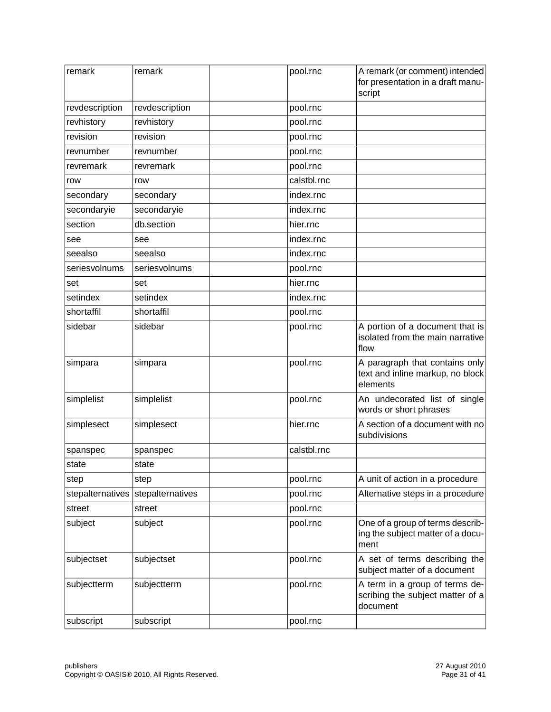| remark           | remark           | pool.rnc    | A remark (or comment) intended<br>for presentation in a draft manu-<br>script  |
|------------------|------------------|-------------|--------------------------------------------------------------------------------|
| revdescription   | revdescription   | pool.rnc    |                                                                                |
| revhistory       | revhistory       | pool.rnc    |                                                                                |
| revision         | revision         | pool.rnc    |                                                                                |
| revnumber        | revnumber        | pool.rnc    |                                                                                |
| revremark        | revremark        | pool.rnc    |                                                                                |
| row              | row              | calstbl.rnc |                                                                                |
| secondary        | secondary        | index.rnc   |                                                                                |
| secondaryie      | secondaryie      | index.rnc   |                                                                                |
| section          | db.section       | hier.rnc    |                                                                                |
| see              | see              | index.rnc   |                                                                                |
| seealso          | seealso          | index.rnc   |                                                                                |
| seriesvolnums    | seriesvolnums    | pool.rnc    |                                                                                |
| set              | set              | hier.rnc    |                                                                                |
| setindex         | setindex         | index.rnc   |                                                                                |
| shortaffil       | shortaffil       | pool.rnc    |                                                                                |
| sidebar          | sidebar          | pool.rnc    | A portion of a document that is<br>isolated from the main narrative<br>flow    |
| simpara          | simpara          | pool.rnc    | A paragraph that contains only<br>text and inline markup, no block<br>elements |
| simplelist       | simplelist       | pool.rnc    | An undecorated list of single<br>words or short phrases                        |
| simplesect       | simplesect       | hier.rnc    | A section of a document with no<br>subdivisions                                |
| spanspec         | spanspec         | calstbl.rnc |                                                                                |
| state            | state            |             |                                                                                |
| step             | step             | pool.rnc    | A unit of action in a procedure                                                |
| stepalternatives | stepalternatives | pool.rnc    | Alternative steps in a procedure                                               |
| street           | street           | pool.rnc    |                                                                                |
| subject          | subject          | pool.rnc    | One of a group of terms describ-<br>ing the subject matter of a docu-<br>ment  |
| subjectset       | subjectset       | pool.rnc    | A set of terms describing the<br>subject matter of a document                  |
| subjectterm      | subjectterm      | pool.rnc    | A term in a group of terms de-<br>scribing the subject matter of a<br>document |
| subscript        | subscript        | pool.rnc    |                                                                                |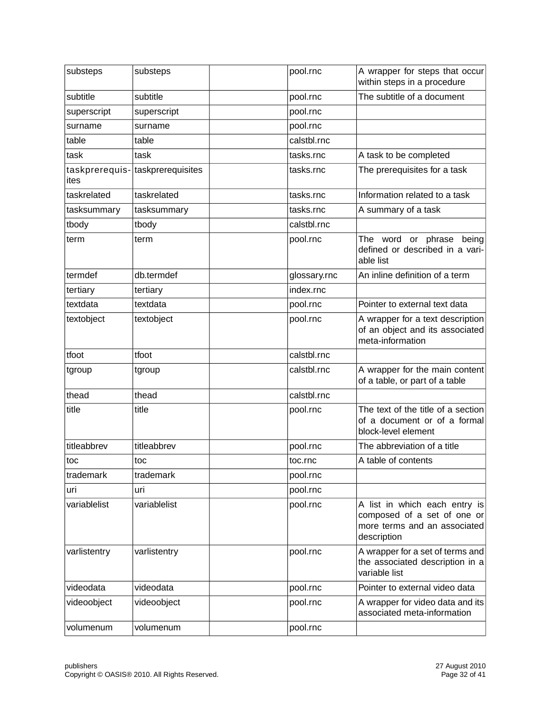| substeps     | substeps                         | pool.rnc     | A wrapper for steps that occur<br>within steps in a procedure                                               |
|--------------|----------------------------------|--------------|-------------------------------------------------------------------------------------------------------------|
| subtitle     | subtitle                         | pool.rnc     | The subtitle of a document                                                                                  |
| superscript  | superscript                      | pool.rnc     |                                                                                                             |
| surname      | surname                          | pool.rnc     |                                                                                                             |
| table        | table                            | calstbl.rnc  |                                                                                                             |
| task         | task                             | tasks.rnc    | A task to be completed                                                                                      |
| ites         | taskprerequis- taskprerequisites | tasks.rnc    | The prerequisites for a task                                                                                |
| taskrelated  | taskrelated                      | tasks.rnc    | Information related to a task                                                                               |
| tasksummary  | tasksummary                      | tasks.rnc    | A summary of a task                                                                                         |
| tbody        | tbody                            | calstbl.rnc  |                                                                                                             |
| term         | term                             | pool.rnc     | The word or phrase being<br>defined or described in a vari-<br>able list                                    |
| termdef      | db.termdef                       | glossary.rnc | An inline definition of a term                                                                              |
| tertiary     | tertiary                         | index.rnc    |                                                                                                             |
| textdata     | textdata                         | pool.rnc     | Pointer to external text data                                                                               |
| textobject   | textobject                       | pool.rnc     | A wrapper for a text description<br>of an object and its associated<br>meta-information                     |
| tfoot        | tfoot                            | calstbl.rnc  |                                                                                                             |
| tgroup       | tgroup                           | calstbl.rnc  | A wrapper for the main content<br>of a table, or part of a table                                            |
| thead        | thead                            | calstbl.rnc  |                                                                                                             |
| title        | title                            | pool.rnc     | The text of the title of a section<br>of a document or of a formal<br>block-level element                   |
| titleabbrev  | titleabbrev                      | pool.rnc     | The abbreviation of a title                                                                                 |
| toc          | toc                              | toc.rnc      | A table of contents                                                                                         |
| trademark    | trademark                        | pool.rnc     |                                                                                                             |
| uri          | uri                              | pool.rnc     |                                                                                                             |
| variablelist | variablelist                     | pool.rnc     | A list in which each entry is<br>composed of a set of one or<br>more terms and an associated<br>description |
| varlistentry | varlistentry                     | pool.rnc     | A wrapper for a set of terms and<br>the associated description in a<br>variable list                        |
| videodata    | videodata                        | pool.rnc     | Pointer to external video data                                                                              |
| videoobject  | videoobject                      | pool.rnc     | A wrapper for video data and its<br>associated meta-information                                             |
| volumenum    | volumenum                        | pool.rnc     |                                                                                                             |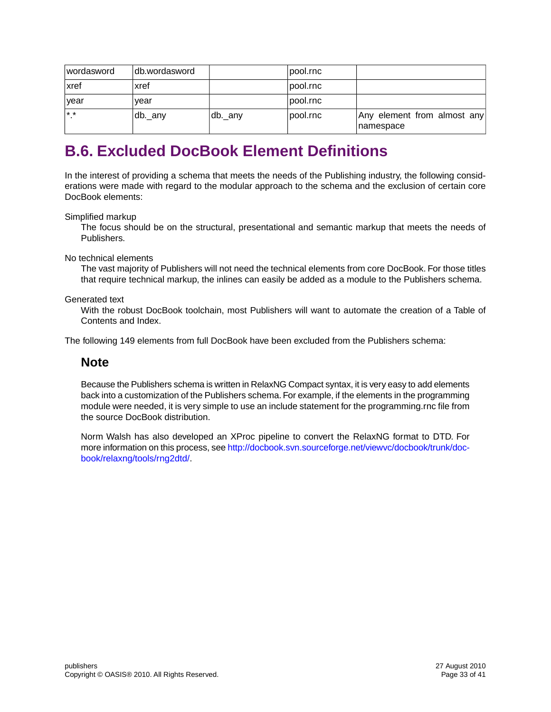| <i>v</i> ordasword | ldb.wordasword       |         | pool.rnc |                                          |
|--------------------|----------------------|---------|----------|------------------------------------------|
| ∣xref              | xref                 |         | pool.rnc |                                          |
| ∣vear              | vear                 |         | pool.rnc |                                          |
| l* *               | <sub>⊥</sub> db._any | db._any | pool.rnc | Any element from almost any<br>namespace |

## <span id="page-32-0"></span>**B.6. Excluded DocBook Element Definitions**

In the interest of providing a schema that meets the needs of the Publishing industry, the following considerations were made with regard to the modular approach to the schema and the exclusion of certain core DocBook elements:

Simplified markup

The focus should be on the structural, presentational and semantic markup that meets the needs of Publishers.

No technical elements

The vast majority of Publishers will not need the technical elements from core DocBook. For those titles that require technical markup, the inlines can easily be added as a module to the Publishers schema.

Generated text

With the robust DocBook toolchain, most Publishers will want to automate the creation of a Table of Contents and Index.

The following 149 elements from full DocBook have been excluded from the Publishers schema:

### **Note**

Because the Publishers schema is written in RelaxNG Compact syntax, it is very easy to add elements back into a customization of the Publishers schema. For example, if the elements in the programming module were needed, it is very simple to use an include statement for the programming.rnc file from the source DocBook distribution.

Norm Walsh has also developed an XProc pipeline to convert the RelaxNG format to DTD. For more information on this process, see [http://docbook.svn.sourceforge.net/viewvc/docbook/trunk/doc](http://docbook.svn.sourceforge.net/viewvc/docbook/trunk/docbook/relaxng/tools/rng2dtd/)[book/relaxng/tools/rng2dtd/.](http://docbook.svn.sourceforge.net/viewvc/docbook/trunk/docbook/relaxng/tools/rng2dtd/)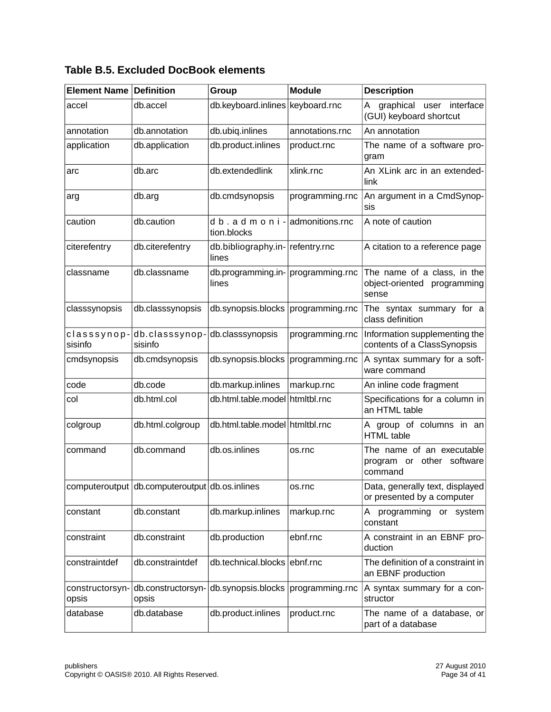| Element Name             | <b>Definition</b>                              | Group                                              | <b>Module</b>   | <b>Description</b>                                                  |
|--------------------------|------------------------------------------------|----------------------------------------------------|-----------------|---------------------------------------------------------------------|
| accel                    | db.accel                                       | db.keyboard.inlines keyboard.rnc                   |                 | graphical<br>user interface<br>A<br>(GUI) keyboard shortcut         |
| annotation               | db.annotation                                  | db.ubiq.inlines                                    | annotations.rnc | An annotation                                                       |
| application              | db.application                                 | db.product.inlines                                 | product.rnc     | The name of a software pro-<br>gram                                 |
| arc                      | db.arc                                         | db.extendedlink                                    | xlink.rnc       | An XLink arc in an extended-<br>link                                |
| arg                      | db.arg                                         | db.cmdsynopsis                                     | programming.rnc | An argument in a CmdSynop-<br>sis                                   |
| caution                  | db.caution                                     | d b . a d m o n i - admonitions.rnc<br>tion.blocks |                 | A note of caution                                                   |
| citerefentry             | db.citerefentry                                | db.bibliography.in- refentry.rnc<br>lines          |                 | A citation to a reference page                                      |
| classname                | db.classname                                   | db.programming.in- programming.rnc<br>lines        |                 | The name of a class, in the<br>object-oriented programming<br>sense |
| classsynopsis            | db.classsynopsis                               | db.synopsis.blocks                                 | programming.rnc | The syntax summary for a<br>class definition                        |
| classsynop-<br>sisinfo   | db.classsynop-db.classsynopsis<br>sisinfo      |                                                    | programming.rnc | Information supplementing the<br>contents of a ClassSynopsis        |
| cmdsynopsis              | db.cmdsynopsis                                 | db.synopsis.blocks                                 | programming.rnc | A syntax summary for a soft-<br>ware command                        |
| code                     | db.code                                        | db.markup.inlines                                  | markup.rnc      | An inline code fragment                                             |
| col                      | db.html.col                                    | db.html.table.model htmltbl.rnc                    |                 | Specifications for a column in<br>an HTML table                     |
| colgroup                 | db.html.colgroup                               | db.html.table.model htmltbl.rnc                    |                 | A group of columns in an<br><b>HTML</b> table                       |
| command                  | db.command                                     | db.os.inlines                                      | os.rnc          | The name of an executable<br>program or other software<br>command   |
|                          | computeroutput db.computeroutput db.os.inlines |                                                    | os.rnc          | Data, generally text, displayed<br>or presented by a computer       |
| constant                 | db.constant                                    | db.markup.inlines                                  | markup.rnc      | programming<br>or system<br>A<br>constant                           |
| constraint               | db.constraint                                  | db.production                                      | ebnf.rnc        | A constraint in an EBNF pro-<br>duction                             |
| constraintdef            | db.constraintdef                               | db.technical.blocks ebnf.rnc                       |                 | The definition of a constraint in<br>an EBNF production             |
| constructorsyn-<br>opsis | db.constructorsyn-<br>opsis                    | db.synopsis.blocks programming.rnc                 |                 | A syntax summary for a con-<br>structor                             |
| database                 | db.database                                    | db.product.inlines                                 | product.rnc     | The name of a database, or<br>part of a database                    |

### **Table B.5. Excluded DocBook elements**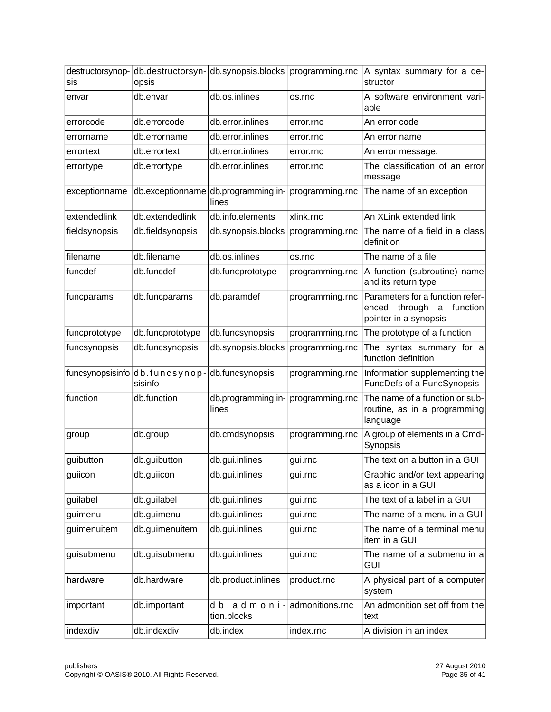| destructorsynop-<br>sis | db.destructorsyn-<br>opsis | db.synopsis.blocks                           | programming.rnc | A syntax summary for a de-<br>structor                                                         |
|-------------------------|----------------------------|----------------------------------------------|-----------------|------------------------------------------------------------------------------------------------|
| envar                   | db.envar                   | db.os.inlines                                | os.rnc          | A software environment vari-<br>able                                                           |
| errorcode               | db.errorcode               | db.error.inlines                             | error.rnc       | An error code                                                                                  |
| errorname               | db.errorname               | db.error.inlines                             | error.rnc       | An error name                                                                                  |
| errortext               | db.errortext               | db.error.inlines                             | error.rnc       | An error message.                                                                              |
| errortype               | db.errortype               | db.error.inlines                             | error.rnc       | The classification of an error<br>message                                                      |
| exceptionname           |                            | db.exceptionname db.programming.in-<br>lines | programming.rnc | The name of an exception                                                                       |
| extendedlink            | db.extendedlink            | db.info.elements                             | xlink.rnc       | An XLink extended link                                                                         |
| fieldsynopsis           | db.fieldsynopsis           | db.synopsis.blocks                           | programming.rnc | The name of a field in a class<br>definition                                                   |
| filename                | db.filename                | db.os.inlines                                | os.rnc          | The name of a file                                                                             |
| funcdef                 | db.funcdef                 | db.funcprototype                             | programming.rnc | A function (subroutine) name<br>and its return type                                            |
| funcparams              | db.funcparams              | db.paramdef                                  | programming.rnc | Parameters for a function refer-<br>through<br>function<br>enced<br>a<br>pointer in a synopsis |
| funcprototype           | db.funcprototype           | db.funcsynopsis                              | programming.rnc | The prototype of a function                                                                    |
| funcsynopsis            | db.funcsynopsis            | db.synopsis.blocks                           | programming.rnc | The syntax summary for a<br>function definition                                                |
| funcsynopsisinfo        | db.funcsynop-<br>sisinfo   | db.funcsynopsis                              | programming.rnc | Information supplementing the<br>FuncDefs of a FuncSynopsis                                    |
| function                | db.function                | db.programming.in-<br>lines                  | programming.rnc | The name of a function or sub-<br>routine, as in a programming<br>language                     |
| group                   | db.group                   | db.cmdsynopsis                               | programming.rnc | A group of elements in a Cmd-<br>Synopsis                                                      |
| guibutton               | db.guibutton               | db.gui.inlines                               | gui.rnc         | The text on a button in a GUI                                                                  |
| guiicon                 | db.guiicon                 | db.gui.inlines                               | gui.rnc         | Graphic and/or text appearing<br>as a icon in a GUI                                            |
| guilabel                | db.guilabel                | db.gui.inlines                               | gui.rnc         | The text of a label in a GUI                                                                   |
| guimenu                 | db.guimenu                 | db.gui.inlines                               | gui.rnc         | The name of a menu in a GUI                                                                    |
| guimenuitem             | db.guimenuitem             | db.gui.inlines                               | gui.rnc         | The name of a terminal menu<br>item in a GUI                                                   |
| guisubmenu              | db.guisubmenu              | db.gui.inlines                               | gui.rnc         | The name of a submenu in a<br><b>GUI</b>                                                       |
| hardware                | db.hardware                | db.product.inlines                           | product.rnc     | A physical part of a computer<br>system                                                        |
| important               | db.important               | db.admoni-<br>tion.blocks                    | admonitions.rnc | An admonition set off from the<br>text                                                         |
| indexdiv                | db.indexdiv                | db.index                                     | index.rnc       | A division in an index                                                                         |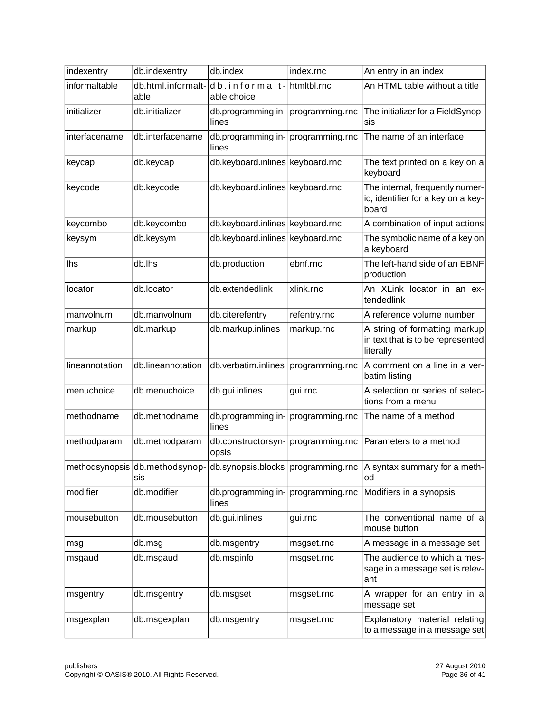| indexentry     | db.indexentry                         | db.index                                    | index.rnc       | An entry in an index                                                            |
|----------------|---------------------------------------|---------------------------------------------|-----------------|---------------------------------------------------------------------------------|
| informaltable  | db.html.informalt-<br>able            | db.informalt-<br>able.choice                | htmitbl.rnc     | An HTML table without a title                                                   |
| initializer    | db.initializer                        | db.programming.in- programming.rnc<br>lines |                 | The initializer for a FieldSynop-<br>sis                                        |
| interfacename  | db.interfacename                      | db.programming.in- programming.rnc<br>lines |                 | The name of an interface                                                        |
| keycap         | db.keycap                             | db.keyboard.inlines keyboard.rnc            |                 | The text printed on a key on a<br>keyboard                                      |
| keycode        | db.keycode                            | db.keyboard.inlines keyboard.rnc            |                 | The internal, frequently numer-<br>ic, identifier for a key on a key-<br>board  |
| keycombo       | db.keycombo                           | db.keyboard.inlines keyboard.rnc            |                 | A combination of input actions                                                  |
| keysym         | db.keysym                             | db.keyboard.inlines keyboard.rnc            |                 | The symbolic name of a key on<br>a keyboard                                     |
| lhs            | db.lhs                                | db.production                               | ebnf.rnc        | The left-hand side of an EBNF<br>production                                     |
| locator        | db.locator                            | db.extendedlink                             | xlink.rnc       | An XLink locator in an ex-<br>tendedlink                                        |
| manvolnum      | db.manvolnum                          | db.citerefentry                             | refentry.rnc    | A reference volume number                                                       |
| markup         | db.markup                             | db.markup.inlines                           | markup.rnc      | A string of formatting markup<br>in text that is to be represented<br>literally |
| lineannotation | db.lineannotation                     | db.verbatim.inlines                         | programming.rnc | A comment on a line in a ver-<br>batim listing                                  |
| menuchoice     | db.menuchoice                         | db.gui.inlines                              | gui.rnc         | A selection or series of selec-<br>tions from a menu                            |
| methodname     | db.methodname                         | db.programming.in- programming.rnc<br>lines |                 | The name of a method                                                            |
| methodparam    | db.methodparam                        | db.constructorsyn- programming.rnc<br>opsis |                 | Parameters to a method                                                          |
|                | methodsynopsis db.methodsynop-<br>sis |                                             |                 | db.synopsis.blocks programming.rnc A syntax summary for a meth-<br>od           |
| modifier       | db.modifier                           | db.programming.in- programming.rnc<br>lines |                 | Modifiers in a synopsis                                                         |
| mousebutton    | db.mousebutton                        | db.gui.inlines                              | gui.rnc         | The conventional name of a<br>mouse button                                      |
| msg            | db.msg                                | db.msgentry                                 | msgset.rnc      | A message in a message set                                                      |
| msgaud         | db.msgaud                             | db.msginfo                                  | msgset.rnc      | The audience to which a mes-<br>sage in a message set is relev-<br>ant          |
| msgentry       | db.msgentry                           | db.msgset                                   | msgset.rnc      | A wrapper for an entry in a<br>message set                                      |
| msgexplan      | db.msgexplan                          | db.msgentry                                 | msgset.rnc      | Explanatory material relating<br>to a message in a message set                  |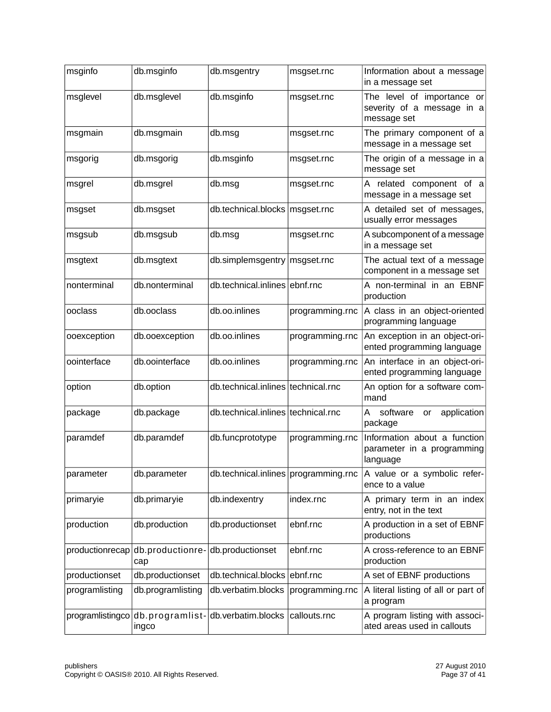| msginfo          | db.msginfo              | db.msgentry                          | msgset.rnc      | Information about a message<br>in a message set                         |
|------------------|-------------------------|--------------------------------------|-----------------|-------------------------------------------------------------------------|
| msglevel         | db.msglevel             | db.msginfo                           | msgset.rnc      | The level of importance or<br>severity of a message in a<br>message set |
| msgmain          | db.msgmain              | db.msg                               | msgset.rnc      | The primary component of a<br>message in a message set                  |
| msgorig          | db.msgorig              | db.msginfo                           | msgset.rnc      | The origin of a message in a<br>message set                             |
| msgrel           | db.msgrel               | db.msg                               | msgset.rnc      | A related component of a<br>message in a message set                    |
| msgset           | db.msgset               | db.technical.blocks   msgset.rnc     |                 | A detailed set of messages,<br>usually error messages                   |
| msgsub           | db.msgsub               | db.msg                               | msgset.rnc      | A subcomponent of a message<br>in a message set                         |
| msgtext          | db.msgtext              | db.simplemsgentry   msgset.rnc       |                 | The actual text of a message<br>component in a message set              |
| nonterminal      | db.nonterminal          | db.technical.inlines ebnf.rnc        |                 | A non-terminal in an EBNF<br>production                                 |
| ooclass          | db.ooclass              | db.oo.inlines                        | programming.rnc | A class in an object-oriented<br>programming language                   |
| ooexception      | db.ooexception          | db.oo.inlines                        | programming.rnc | An exception in an object-ori-<br>ented programming language            |
| oointerface      | db.oointerface          | db.oo.inlines                        | programming.rnc | An interface in an object-ori-<br>ented programming language            |
| option           | db.option               | db.technical.inlines technical.rnc   |                 | An option for a software com-<br>mand                                   |
| package          | db.package              | db.technical.inlines technical.rnc   |                 | Α<br>software<br>application<br>or<br>package                           |
| paramdef         | db.paramdef             | db.funcprototype                     | programming.rnc | Information about a function<br>parameter in a programming<br>language  |
| parameter        | db.parameter            | db.technical.inlines programming.rnc |                 | A value or a symbolic refer-<br>ence to a value                         |
| primaryie        | db.primaryie            | db.indexentry                        | index.rnc       | A primary term in an index<br>entry, not in the text                    |
| production       | db.production           | db.productionset                     | ebnf.rnc        | A production in a set of EBNF<br>productions                            |
| productionrecap  | db.productionre-<br>cap | db.productionset                     | ebnf.rnc        | A cross-reference to an EBNF<br>production                              |
| productionset    | db.productionset        | db.technical.blocks                  | ebnf.rnc        | A set of EBNF productions                                               |
| programlisting   | db.programlisting       | db.verbatim.blocks                   | programming.rnc | A literal listing of all or part of<br>a program                        |
| programlistingco | ingco                   | db.programlist-db.verbatim.blocks    | callouts.rnc    | A program listing with associ-<br>ated areas used in callouts           |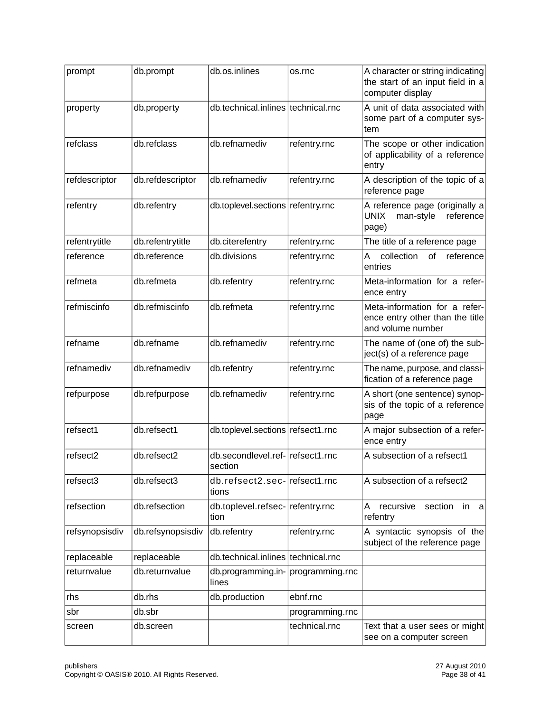| prompt         | db.prompt         | db.os.inlines                               | os.rnc          | A character or string indicating<br>the start of an input field in a<br>computer display |
|----------------|-------------------|---------------------------------------------|-----------------|------------------------------------------------------------------------------------------|
| property       | db.property       | db.technical.inlines technical.rnc          |                 | A unit of data associated with<br>some part of a computer sys-<br>tem                    |
| refclass       | db.refclass       | db.refnamediv                               | refentry.rnc    | The scope or other indication<br>of applicability of a reference<br>entry                |
| refdescriptor  | db.refdescriptor  | db.refnamediv                               | refentry.rnc    | A description of the topic of a<br>reference page                                        |
| refentry       | db.refentry       | db.toplevel.sections refentry.rnc           |                 | A reference page (originally a<br><b>UNIX</b><br>man-style<br>reference<br>page)         |
| refentrytitle  | db.refentrytitle  | db.citerefentry                             | refentry.rnc    | The title of a reference page                                                            |
| reference      | db.reference      | db.divisions                                | refentry.rnc    | collection<br>of<br>reference<br>Α<br>entries                                            |
| refmeta        | db.refmeta        | db.refentry                                 | refentry.rnc    | Meta-information for a refer-<br>ence entry                                              |
| refmiscinfo    | db.refmiscinfo    | db.refmeta                                  | refentry.rnc    | Meta-information for a refer-<br>ence entry other than the title<br>and volume number    |
| refname        | db.refname        | db.refnamediv                               | refentry.rnc    | The name of (one of) the sub-<br>ject(s) of a reference page                             |
| refnamediv     | db.refnamediv     | db.refentry                                 | refentry.rnc    | The name, purpose, and classi-<br>fication of a reference page                           |
| refpurpose     | db.refpurpose     | db.refnamediv                               | refentry.rnc    | A short (one sentence) synop-<br>sis of the topic of a reference<br>page                 |
| refsect1       | db.refsect1       | db.toplevel.sections refsect1.rnc           |                 | A major subsection of a refer-<br>ence entry                                             |
| refsect2       | db.refsect2       | db.secondlevel.ref- refsect1.rnc<br>section |                 | A subsection of a refsect1                                                               |
| refsect3       | db.refsect3       | db.refsect2.sec-refsect1.rnc<br>tions       |                 | A subsection of a refsect2                                                               |
| refsection     | db.refsection     | db.toplevel.refsec- refentry.rnc<br>tion    |                 | section<br>A<br>recursive<br>in<br>a<br>refentry                                         |
| refsynopsisdiv | db.refsynopsisdiv | db.refentry                                 | refentry.rnc    | A syntactic synopsis of the<br>subject of the reference page                             |
| replaceable    | replaceable       | db.technical.inlines technical.rnc          |                 |                                                                                          |
| returnvalue    | db.returnvalue    | db.programming.in- programming.rnc<br>lines |                 |                                                                                          |
| rhs            | db.rhs            | db.production                               | ebnf.rnc        |                                                                                          |
| sbr            | db.sbr            |                                             | programming.rnc |                                                                                          |
| screen         | db.screen         |                                             | technical.rnc   | Text that a user sees or might<br>see on a computer screen                               |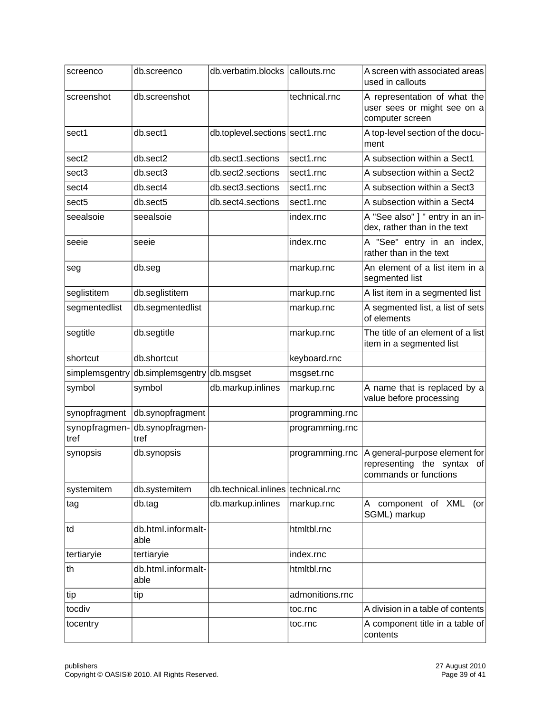| screenco              | db.screenco                 | db.verbatim.blocks callouts.rnc    |                 | A screen with associated areas<br>used in callouts                                   |
|-----------------------|-----------------------------|------------------------------------|-----------------|--------------------------------------------------------------------------------------|
| screenshot            | db.screenshot               |                                    | technical.rnc   | A representation of what the<br>user sees or might see on a<br>computer screen       |
| sect1                 | db.sect1                    | db.toplevel.sections sect1.rnc     |                 | A top-level section of the docu-<br>ment                                             |
| sect2                 | db.sect2                    | db.sect1.sections                  | sect1.rnc       | A subsection within a Sect1                                                          |
| sect3                 | db.sect3                    | db.sect2.sections                  | sect1.rnc       | A subsection within a Sect2                                                          |
| sect4                 | db.sect4                    | db.sect3.sections                  | sect1.rnc       | A subsection within a Sect3                                                          |
| sect5                 | db.sect5                    | db.sect4.sections                  | sect1.rnc       | A subsection within a Sect4                                                          |
| seealsoie             | seealsoie                   |                                    | index.rnc       | A "See also" ] " entry in an in-<br>dex, rather than in the text                     |
| seeie                 | seeie                       |                                    | index.rnc       | A "See" entry in an index,<br>rather than in the text                                |
| seg                   | db.seg                      |                                    | markup.rnc      | An element of a list item in a<br>segmented list                                     |
| seglistitem           | db.seglistitem              |                                    | markup.rnc      | A list item in a segmented list                                                      |
| segmentedlist         | db.segmentedlist            |                                    | markup.rnc      | A segmented list, a list of sets<br>of elements                                      |
| segtitle              | db.segtitle                 |                                    | markup.rnc      | The title of an element of a list<br>item in a segmented list                        |
| shortcut              | db.shortcut                 |                                    | keyboard.rnc    |                                                                                      |
| simplemsgentry        | db.simplemsgentry db.msgset |                                    | msgset.rnc      |                                                                                      |
| symbol                | symbol                      | db.markup.inlines                  | markup.rnc      | A name that is replaced by a<br>value before processing                              |
| synopfragment         | db.synopfragment            |                                    | programming.rnc |                                                                                      |
| synopfragmen-<br>tref | db.synopfragmen-<br>tref    |                                    | programming.rnc |                                                                                      |
| synopsis              | db.synopsis                 |                                    | programming.rnc | A general-purpose element for<br>representing the syntax of<br>commands or functions |
| systemitem            | db.systemitem               | db.technical.inlines technical.rnc |                 |                                                                                      |
| tag                   | db.tag                      | db.markup.inlines                  | markup.rnc      | A component of XML<br>$($ or<br>SGML) markup                                         |
| td                    | db.html.informalt-<br>able  |                                    | htmltbl.rnc     |                                                                                      |
| tertiaryie            | tertiaryie                  |                                    | index.rnc       |                                                                                      |
| th                    | db.html.informalt-<br>able  |                                    | htmltbl.rnc     |                                                                                      |
| tip                   | tip                         |                                    | admonitions.rnc |                                                                                      |
| tocdiv                |                             |                                    | toc.rnc         | A division in a table of contents                                                    |
| tocentry              |                             |                                    | toc.rnc         | A component title in a table of<br>contents                                          |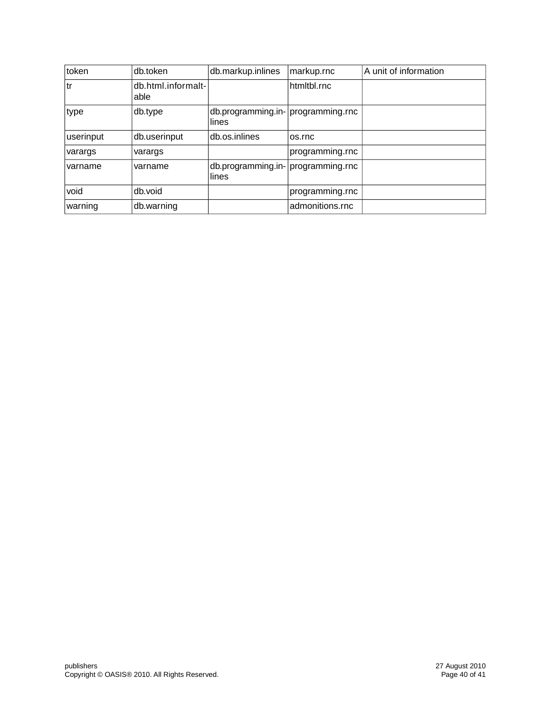| token     | db.token                   | db.markup.inlines                           | markup.rnc      | A unit of information |
|-----------|----------------------------|---------------------------------------------|-----------------|-----------------------|
| l tr      | db.html.informalt-<br>able |                                             | htmitbl.rnc     |                       |
| type      | db.type                    | db.programming.in- programming.rnc<br>lines |                 |                       |
| userinput | db.userinput               | db.os.inlines                               | os.rnc          |                       |
| varargs   | varargs                    |                                             | programming.rnc |                       |
| varname   | varname                    | db.programming.in- programming.rnc<br>lines |                 |                       |
| void      | db.void                    |                                             | programming.rnc |                       |
| warning   | db.warning                 |                                             | admonitions.rnc |                       |